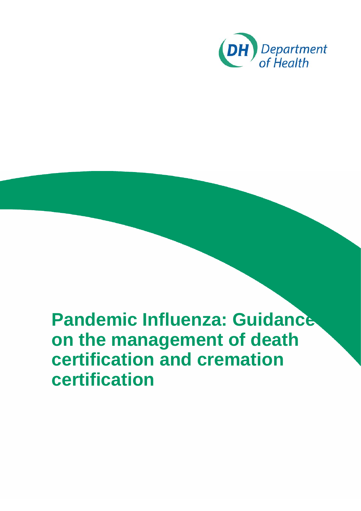<span id="page-0-0"></span>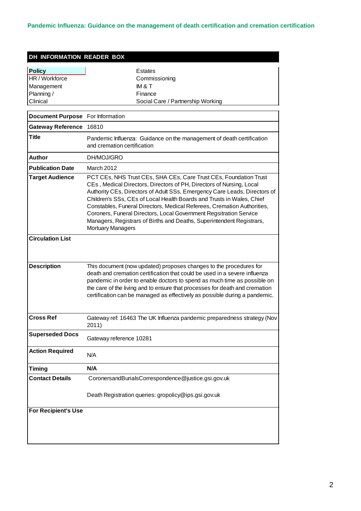| DH INFORMATION READER BOX                                               |                                                                                                                                                                                                                                                                                                                                                                                                                                                                                                                                                       |  |  |
|-------------------------------------------------------------------------|-------------------------------------------------------------------------------------------------------------------------------------------------------------------------------------------------------------------------------------------------------------------------------------------------------------------------------------------------------------------------------------------------------------------------------------------------------------------------------------------------------------------------------------------------------|--|--|
| <b>Policy</b><br>HR / Workforce<br>Management<br>Planning /<br>Clinical | <b>Estates</b><br>Commissioning<br>IM & T<br>Finance<br>Social Care / Partnership Working                                                                                                                                                                                                                                                                                                                                                                                                                                                             |  |  |
| Document Purpose For Information                                        |                                                                                                                                                                                                                                                                                                                                                                                                                                                                                                                                                       |  |  |
| Gateway Reference 16810                                                 |                                                                                                                                                                                                                                                                                                                                                                                                                                                                                                                                                       |  |  |
| <b>Title</b>                                                            | Pandemic Influenza: Guidance on the management of death certification<br>and cremation certification                                                                                                                                                                                                                                                                                                                                                                                                                                                  |  |  |
| <b>Author</b>                                                           | DH/MOJ/GRO                                                                                                                                                                                                                                                                                                                                                                                                                                                                                                                                            |  |  |
| <b>Publication Date</b>                                                 | March 2012                                                                                                                                                                                                                                                                                                                                                                                                                                                                                                                                            |  |  |
| <b>Target Audience</b>                                                  | PCT CEs, NHS Trust CEs, SHA CEs, Care Trust CEs, Foundation Trust<br>CEs, Medical Directors, Directors of PH, Directors of Nursing, Local<br>Authority CEs, Directors of Adult SSs, Emergency Care Leads, Directors of<br>Children's SSs, CEs of Local Health Boards and Trusts in Wales, Chief<br>Constables, Funeral Directors, Medical Referees, Cremation Authorities,<br>Coroners, Funeral Directors, Local Government Regsitration Service<br>Managers, Registrars of Births and Deaths, Superintendent Registrars,<br><b>Mortuary Managers</b> |  |  |
| <b>Circulation List</b>                                                 |                                                                                                                                                                                                                                                                                                                                                                                                                                                                                                                                                       |  |  |
| <b>Description</b>                                                      | This document (now updated) proposes changes to the procedures for<br>death and cremation certification that could be used in a severe influenza<br>pandemic in order to enable doctors to spend as much time as possible on<br>the care of the living and to ensure that processes for death and cremation<br>certification can be managed as effectively as possible during a pandemic.                                                                                                                                                             |  |  |
| <b>Cross Ref</b>                                                        | Gateway ref: 16463 The UK Influenza pandemic preparedness strategy (Nov<br>2011)                                                                                                                                                                                                                                                                                                                                                                                                                                                                      |  |  |
| <b>Superseded Docs</b>                                                  | Gateway reference 10281                                                                                                                                                                                                                                                                                                                                                                                                                                                                                                                               |  |  |
| <b>Action Required</b>                                                  | N/A                                                                                                                                                                                                                                                                                                                                                                                                                                                                                                                                                   |  |  |
| <b>Timing</b>                                                           | N/A                                                                                                                                                                                                                                                                                                                                                                                                                                                                                                                                                   |  |  |
| <b>Contact Details</b>                                                  | CoronersandBurialsCorrespondence@justice.gsi.gov.uk                                                                                                                                                                                                                                                                                                                                                                                                                                                                                                   |  |  |
|                                                                         | Death Registration queries: gropolicy@ips.gsi.gov.uk                                                                                                                                                                                                                                                                                                                                                                                                                                                                                                  |  |  |
| <b>For Recipient's Use</b>                                              |                                                                                                                                                                                                                                                                                                                                                                                                                                                                                                                                                       |  |  |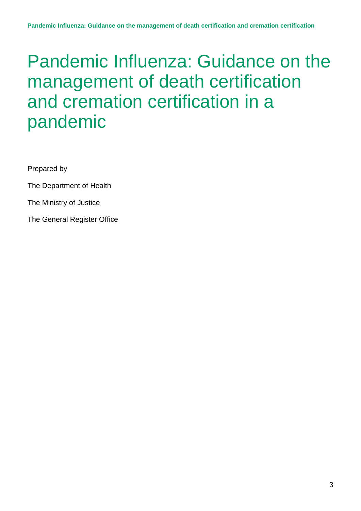Prepared by

The Department of Health

The Ministry of Justice

The General Register Office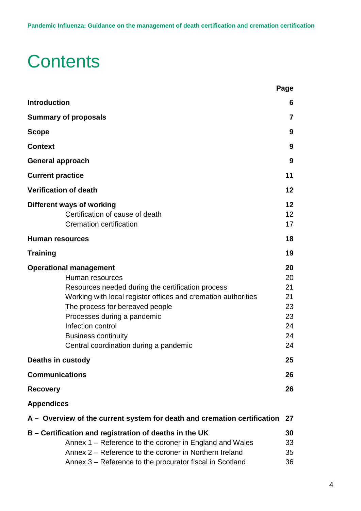# **Contents**

|                                                                                                                                                                                                                                                                                                                                       | Page                                               |
|---------------------------------------------------------------------------------------------------------------------------------------------------------------------------------------------------------------------------------------------------------------------------------------------------------------------------------------|----------------------------------------------------|
| <b>Introduction</b>                                                                                                                                                                                                                                                                                                                   | 6                                                  |
| <b>Summary of proposals</b>                                                                                                                                                                                                                                                                                                           | $\overline{7}$                                     |
| <b>Scope</b>                                                                                                                                                                                                                                                                                                                          | 9                                                  |
| <b>Context</b>                                                                                                                                                                                                                                                                                                                        | 9                                                  |
| <b>General approach</b>                                                                                                                                                                                                                                                                                                               | 9                                                  |
| <b>Current practice</b>                                                                                                                                                                                                                                                                                                               | 11                                                 |
| <b>Verification of death</b>                                                                                                                                                                                                                                                                                                          | 12                                                 |
| Different ways of working<br>Certification of cause of death<br><b>Cremation certification</b>                                                                                                                                                                                                                                        | 12<br>12<br>17                                     |
| <b>Human resources</b>                                                                                                                                                                                                                                                                                                                | 18                                                 |
| <b>Training</b>                                                                                                                                                                                                                                                                                                                       | 19                                                 |
| <b>Operational management</b><br>Human resources<br>Resources needed during the certification process<br>Working with local register offices and cremation authorities<br>The process for bereaved people<br>Processes during a pandemic<br>Infection control<br><b>Business continuity</b><br>Central coordination during a pandemic | 20<br>20<br>21<br>21<br>23<br>23<br>24<br>24<br>24 |
| <b>Deaths in custody</b>                                                                                                                                                                                                                                                                                                              | 25                                                 |
| <b>Communications</b>                                                                                                                                                                                                                                                                                                                 | 26                                                 |
| <b>Recovery</b>                                                                                                                                                                                                                                                                                                                       | 26                                                 |
| <b>Appendices</b>                                                                                                                                                                                                                                                                                                                     |                                                    |
| A – Overview of the current system for death and cremation certification                                                                                                                                                                                                                                                              | 27                                                 |
| B – Certification and registration of deaths in the UK<br>Annex 1 – Reference to the coroner in England and Wales<br>Annex 2 – Reference to the coroner in Northern Ireland<br>Annex 3 - Reference to the procurator fiscal in Scotland                                                                                               | 30<br>33<br>35<br>36                               |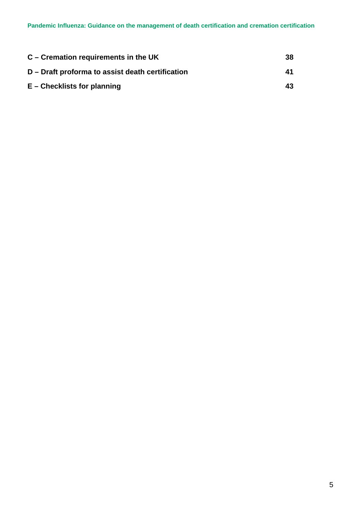| C – Cremation requirements in the UK             | 38 |
|--------------------------------------------------|----|
| D – Draft proforma to assist death certification | 41 |
| $E$ – Checklists for planning                    | 43 |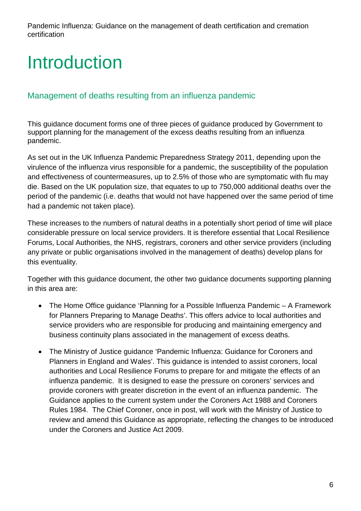# Introduction

## Management of deaths resulting from an influenza pandemic

This guidance document forms one of three pieces of guidance produced by Government to support planning for the management of the excess deaths resulting from an influenza pandemic.

As set out in the UK Influenza Pandemic Preparedness Strategy 2011, depending upon the virulence of the influenza virus responsible for a pandemic, the susceptibility of the population and effectiveness of countermeasures, up to 2.5% of those who are symptomatic with flu may die. Based on the UK population size, that equates to up to 750,000 additional deaths over the period of the pandemic (i.e. deaths that would not have happened over the same period of time had a pandemic not taken place).

These increases to the numbers of natural deaths in a potentially short period of time will place considerable pressure on local service providers. It is therefore essential that Local Resilience Forums, Local Authorities, the NHS, registrars, coroners and other service providers (including any private or public organisations involved in the management of deaths) develop plans for this eventuality.

Together with this guidance document, the other two guidance documents supporting planning in this area are:

- The Home Office guidance 'Planning for a Possible Influenza Pandemic A Framework for Planners Preparing to Manage Deaths'. This offers advice to local authorities and service providers who are responsible for producing and maintaining emergency and business continuity plans associated in the management of excess deaths.
- The Ministry of Justice guidance 'Pandemic Influenza: Guidance for Coroners and Planners in England and Wales'. This guidance is intended to assist coroners, local authorities and Local Resilience Forums to prepare for and mitigate the effects of an influenza pandemic. It is designed to ease the pressure on coroners' services and provide coroners with greater discretion in the event of an influenza pandemic. The Guidance applies to the current system under the Coroners Act 1988 and Coroners Rules 1984. The Chief Coroner, once in post, will work with the Ministry of Justice to review and amend this Guidance as appropriate, reflecting the changes to be introduced under the Coroners and Justice Act 2009.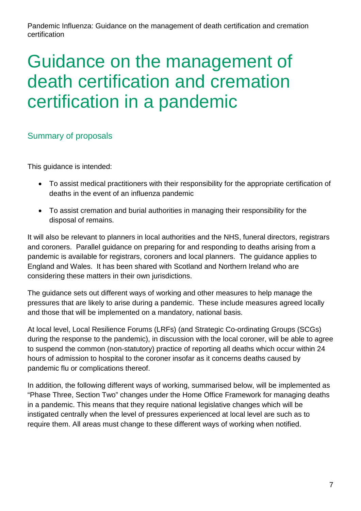# Guidance on the management of death certification and cremation certification in a pandemic

# Summary of proposals

This guidance is intended:

- To assist medical practitioners with their responsibility for the appropriate certification of deaths in the event of an influenza pandemic
- To assist cremation and burial authorities in managing their responsibility for the disposal of remains.

It will also be relevant to planners in local authorities and the NHS, funeral directors, registrars and coroners. Parallel guidance on preparing for and responding to deaths arising from a pandemic is available for registrars, coroners and local planners. The guidance applies to England and Wales. It has been shared with Scotland and Northern Ireland who are considering these matters in their own jurisdictions.

The guidance sets out different ways of working and other measures to help manage the pressures that are likely to arise during a pandemic. These include measures agreed locally and those that will be implemented on a mandatory, national basis.

At local level, Local Resilience Forums (LRFs) (and Strategic Co-ordinating Groups (SCGs) during the response to the pandemic), in discussion with the local coroner, will be able to agree to suspend the common (non-statutory) practice of reporting all deaths which occur within 24 hours of admission to hospital to the coroner insofar as it concerns deaths caused by pandemic flu or complications thereof.

In addition, the following different ways of working, summarised below, will be implemented as "Phase Three, Section Two" changes under the Home Office Framework for managing deaths in a pandemic. This means that they require national legislative changes which will be instigated centrally when the level of pressures experienced at local level are such as to require them. All areas must change to these different ways of working when notified.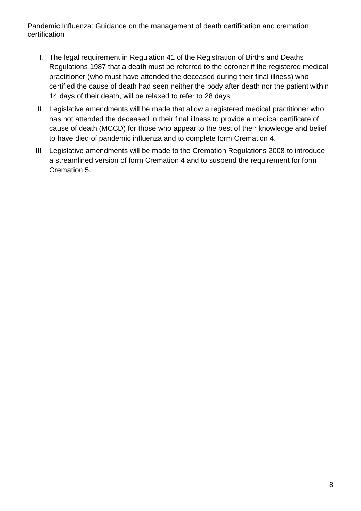- I. The legal requirement in Regulation 41 of the Registration of Births and Deaths Regulations 1987 that a death must be referred to the coroner if the registered medical practitioner (who must have attended the deceased during their final illness) who certified the cause of death had seen neither the body after death nor the patient within 14 days of their death, will be relaxed to refer to 28 days.
- II. Legislative amendments will be made that allow a registered medical practitioner who has not attended the deceased in their final illness to provide a medical certificate of cause of death (MCCD) for those who appear to the best of their knowledge and belief to have died of pandemic influenza and to complete form Cremation 4.
- III. Legislative amendments will be made to the Cremation Regulations 2008 to introduce a streamlined version of form Cremation 4 and to suspend the requirement for form Cremation 5.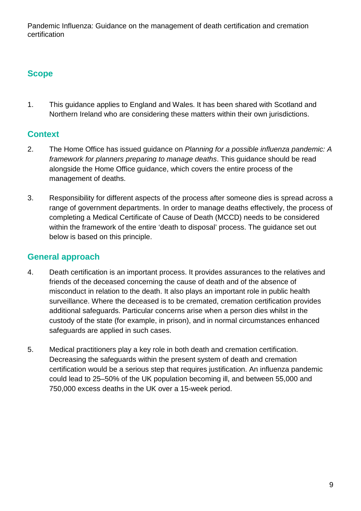# **Scope**

1. This guidance applies to England and Wales. It has been shared with Scotland and Northern Ireland who are considering these matters within their own jurisdictions.

# **Context**

- 2. The Home Office has issued guidance on *Planning for a possible influenza pandemic: A framework for planners preparing to manage deaths*. This guidance should be read alongside the Home Office guidance, which covers the entire process of the management of deaths.
- 3. Responsibility for different aspects of the process after someone dies is spread across a range of government departments. In order to manage deaths effectively, the process of completing a Medical Certificate of Cause of Death (MCCD) needs to be considered within the framework of the entire 'death to disposal' process. The guidance set out below is based on this principle.

## **General approach**

- 4. Death certification is an important process. It provides assurances to the relatives and friends of the deceased concerning the cause of death and of the absence of misconduct in relation to the death. It also plays an important role in public health surveillance. Where the deceased is to be cremated, cremation certification provides additional safeguards. Particular concerns arise when a person dies whilst in the custody of the state (for example, in prison), and in normal circumstances enhanced safeguards are applied in such cases.
- 5. Medical practitioners play a key role in both death and cremation certification. Decreasing the safeguards within the present system of death and cremation certification would be a serious step that requires justification. An influenza pandemic could lead to 25–50% of the UK population becoming ill, and between 55,000 and 750,000 excess deaths in the UK over a 15-week period.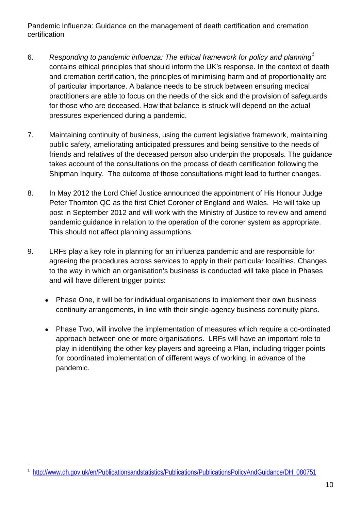- 6. *Responding to pandemic influenza: The ethical framework for policy and planning[1](#page-0-0)* contains ethical principles that should inform the UK's response. In the context of death and cremation certification, the principles of minimising harm and of proportionality are of particular importance. A balance needs to be struck between ensuring medical practitioners are able to focus on the needs of the sick and the provision of safeguards for those who are deceased. How that balance is struck will depend on the actual pressures experienced during a pandemic.
- 7. Maintaining continuity of business, using the current legislative framework, maintaining public safety, ameliorating anticipated pressures and being sensitive to the needs of friends and relatives of the deceased person also underpin the proposals. The guidance takes account of the consultations on the process of death certification following the Shipman Inquiry. The outcome of those consultations might lead to further changes.
- 8. In May 2012 the Lord Chief Justice announced the appointment of His Honour Judge Peter Thornton QC as the first Chief Coroner of England and Wales. He will take up post in September 2012 and will work with the Ministry of Justice to review and amend pandemic guidance in relation to the operation of the coroner system as appropriate. This should not affect planning assumptions.
- 9. LRFs play a key role in planning for an influenza pandemic and are responsible for agreeing the procedures across services to apply in their particular localities. Changes to the way in which an organisation's business is conducted will take place in Phases and will have different trigger points:
	- Phase One, it will be for individual organisations to implement their own business continuity arrangements, in line with their single-agency business continuity plans.
	- Phase Two, will involve the implementation of measures which require a co-ordinated approach between one or more organisations. LRFs will have an important role to play in identifying the other key players and agreeing a Plan, including trigger points for coordinated implementation of different ways of working, in advance of the pandemic.

<span id="page-9-0"></span> <sup>1</sup> [http://www.dh.gov.uk/en/Publicationsandstatistics/Publications/PublicationsPolicyAndGuidance/DH\\_080751](http://www.dh.gov.uk/en/Publicationsandstatistics/Publications/PublicationsPolicyAndGuidance/DH_080751)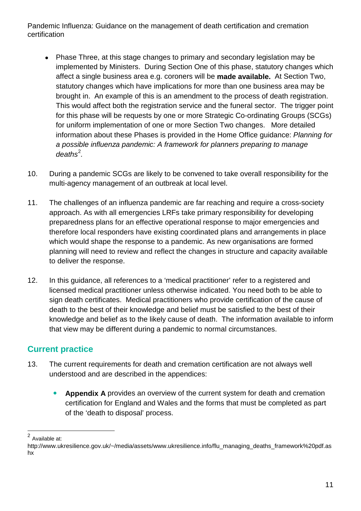- Phase Three, at this stage changes to primary and secondary legislation may be implemented by Ministers. During Section One of this phase, statutory changes which affect a single business area e.g. coroners will be **made available.** At Section Two, statutory changes which have implications for more than one business area may be brought in. An example of this is an amendment to the process of death registration. This would affect both the registration service and the funeral sector. The trigger point for this phase will be requests by one or more Strategic Co-ordinating Groups (SCGs) for uniform implementation of one or more Section Two changes. More detailed information about these Phases is provided in the Home Office guidance: *Planning for a possible influenza pandemic: A framework for planners preparing to manage*  deaths<sup>[2](#page-9-0)</sup>.
- 10. During a pandemic SCGs are likely to be convened to take overall responsibility for the multi-agency management of an outbreak at local level.
- 11. The challenges of an influenza pandemic are far reaching and require a cross-society approach. As with all emergencies LRFs take primary responsibility for developing preparedness plans for an effective operational response to major emergencies and therefore local responders have existing coordinated plans and arrangements in place which would shape the response to a pandemic. As new organisations are formed planning will need to review and reflect the changes in structure and capacity available to deliver the response.
- 12. In this guidance, all references to a 'medical practitioner' refer to a registered and licensed medical practitioner unless otherwise indicated. You need both to be able to sign death certificates. Medical practitioners who provide certification of the cause of death to the best of their knowledge and belief must be satisfied to the best of their knowledge and belief as to the likely cause of death. The information available to inform that view may be different during a pandemic to normal circumstances.

# **Current practice**

- 13. The current requirements for death and cremation certification are not always well understood and are described in the appendices:
	- **Appendix A** provides an overview of the current system for death and cremation certification for England and Wales and the forms that must be completed as part of the 'death to disposal' process.

 <sup>2</sup> Available at:

<span id="page-10-0"></span>http://www.ukresilience.gov.uk/~/media/assets/www.ukresilience.info/flu\_managing\_deaths\_framework%20pdf.as hx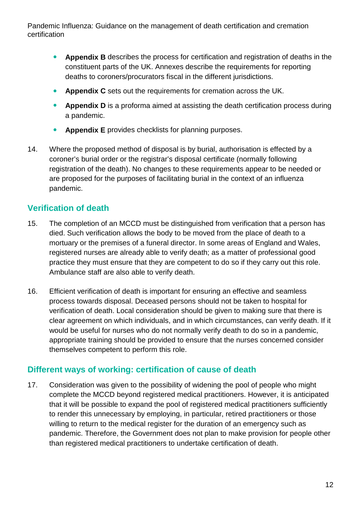- **Appendix B** describes the process for certification and registration of deaths in the constituent parts of the UK. Annexes describe the requirements for reporting deaths to coroners/procurators fiscal in the different jurisdictions.
- **Appendix C** sets out the requirements for cremation across the UK.
- **Appendix D** is a proforma aimed at assisting the death certification process during a pandemic.
- **Appendix E** provides checklists for planning purposes.
- 14. Where the proposed method of disposal is by burial, authorisation is effected by a coroner's burial order or the registrar's disposal certificate (normally following registration of the death). No changes to these requirements appear to be needed or are proposed for the purposes of facilitating burial in the context of an influenza pandemic.

# **Verification of death**

- 15. The completion of an MCCD must be distinguished from verification that a person has died. Such verification allows the body to be moved from the place of death to a mortuary or the premises of a funeral director. In some areas of England and Wales, registered nurses are already able to verify death; as a matter of professional good practice they must ensure that they are competent to do so if they carry out this role. Ambulance staff are also able to verify death.
- 16. Efficient verification of death is important for ensuring an effective and seamless process towards disposal. Deceased persons should not be taken to hospital for verification of death. Local consideration should be given to making sure that there is clear agreement on which individuals, and in which circumstances, can verify death. If it would be useful for nurses who do not normally verify death to do so in a pandemic, appropriate training should be provided to ensure that the nurses concerned consider themselves competent to perform this role.

# **Different ways of working: certification of cause of death**

17. Consideration was given to the possibility of widening the pool of people who might complete the MCCD beyond registered medical practitioners. However, it is anticipated that it will be possible to expand the pool of registered medical practitioners sufficiently to render this unnecessary by employing, in particular, retired practitioners or those willing to return to the medical register for the duration of an emergency such as pandemic. Therefore, the Government does not plan to make provision for people other than registered medical practitioners to undertake certification of death.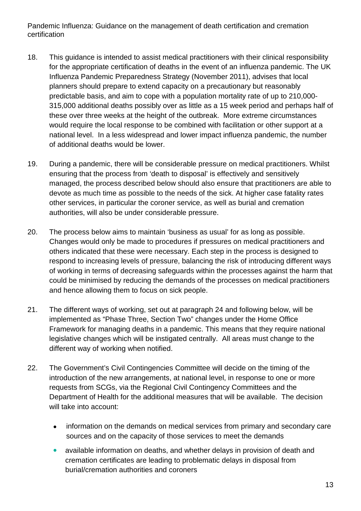- 18. This guidance is intended to assist medical practitioners with their clinical responsibility for the appropriate certification of deaths in the event of an influenza pandemic. The UK Influenza Pandemic Preparedness Strategy (November 2011), advises that local planners should prepare to extend capacity on a precautionary but reasonably predictable basis, and aim to cope with a population mortality rate of up to 210,000- 315,000 additional deaths possibly over as little as a 15 week period and perhaps half of these over three weeks at the height of the outbreak. More extreme circumstances would require the local response to be combined with facilitation or other support at a national level. In a less widespread and lower impact influenza pandemic, the number of additional deaths would be lower.
- 19. During a pandemic, there will be considerable pressure on medical practitioners. Whilst ensuring that the process from 'death to disposal' is effectively and sensitively managed, the process described below should also ensure that practitioners are able to devote as much time as possible to the needs of the sick. At higher case fatality rates other services, in particular the coroner service, as well as burial and cremation authorities, will also be under considerable pressure.
- 20. The process below aims to maintain 'business as usual' for as long as possible. Changes would only be made to procedures if pressures on medical practitioners and others indicated that these were necessary. Each step in the process is designed to respond to increasing levels of pressure, balancing the risk of introducing different ways of working in terms of decreasing safeguards within the processes against the harm that could be minimised by reducing the demands of the processes on medical practitioners and hence allowing them to focus on sick people.
- 21. The different ways of working, set out at paragraph 24 and following below, will be implemented as "Phase Three, Section Two" changes under the Home Office Framework for managing deaths in a pandemic. This means that they require national legislative changes which will be instigated centrally. All areas must change to the different way of working when notified.
- 22. The Government's Civil Contingencies Committee will decide on the timing of the introduction of the new arrangements, at national level, in response to one or more requests from SCGs, via the Regional Civil Contingency Committees and the Department of Health for the additional measures that will be available. The decision will take into account:
	- information on the demands on medical services from primary and secondary care sources and on the capacity of those services to meet the demands
	- available information on deaths, and whether delays in provision of death and cremation certificates are leading to problematic delays in disposal from burial/cremation authorities and coroners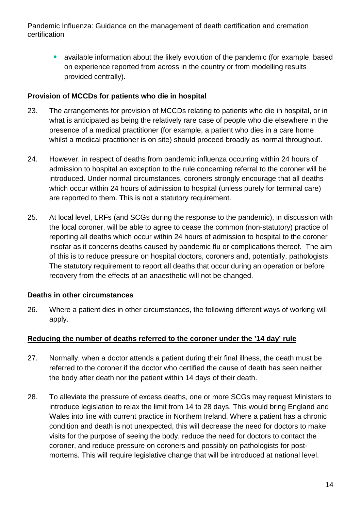• available information about the likely evolution of the pandemic (for example, based on experience reported from across in the country or from modelling results provided centrally).

## **Provision of MCCDs for patients who die in hospital**

- 23. The arrangements for provision of MCCDs relating to patients who die in hospital, or in what is anticipated as being the relatively rare case of people who die elsewhere in the presence of a medical practitioner (for example, a patient who dies in a care home whilst a medical practitioner is on site) should proceed broadly as normal throughout.
- 24. However, in respect of deaths from pandemic influenza occurring within 24 hours of admission to hospital an exception to the rule concerning referral to the coroner will be introduced. Under normal circumstances, coroners strongly encourage that all deaths which occur within 24 hours of admission to hospital (unless purely for terminal care) are reported to them. This is not a statutory requirement.
- 25. At local level, LRFs (and SCGs during the response to the pandemic), in discussion with the local coroner, will be able to agree to cease the common (non-statutory) practice of reporting all deaths which occur within 24 hours of admission to hospital to the coroner insofar as it concerns deaths caused by pandemic flu or complications thereof. The aim of this is to reduce pressure on hospital doctors, coroners and, potentially, pathologists. The statutory requirement to report all deaths that occur during an operation or before recovery from the effects of an anaesthetic will not be changed.

## **Deaths in other circumstances**

26. Where a patient dies in other circumstances, the following different ways of working will apply.

## **Reducing the number of deaths referred to the coroner under the '14 day' rule**

- 27. Normally, when a doctor attends a patient during their final illness, the death must be referred to the coroner if the doctor who certified the cause of death has seen neither the body after death nor the patient within 14 days of their death.
- 28. To alleviate the pressure of excess deaths, one or more SCGs may request Ministers to introduce legislation to relax the limit from 14 to 28 days. This would bring England and Wales into line with current practice in Northern Ireland. Where a patient has a chronic condition and death is not unexpected, this will decrease the need for doctors to make visits for the purpose of seeing the body, reduce the need for doctors to contact the coroner, and reduce pressure on coroners and possibly on pathologists for postmortems. This will require legislative change that will be introduced at national level.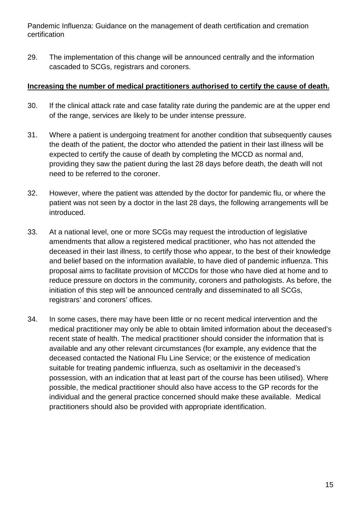29. The implementation of this change will be announced centrally and the information cascaded to SCGs, registrars and coroners.

#### **Increasing the number of medical practitioners authorised to certify the cause of death.**

- 30. If the clinical attack rate and case fatality rate during the pandemic are at the upper end of the range, services are likely to be under intense pressure.
- 31. Where a patient is undergoing treatment for another condition that subsequently causes the death of the patient, the doctor who attended the patient in their last illness will be expected to certify the cause of death by completing the MCCD as normal and, providing they saw the patient during the last 28 days before death, the death will not need to be referred to the coroner.
- 32. However, where the patient was attended by the doctor for pandemic flu, or where the patient was not seen by a doctor in the last 28 days, the following arrangements will be introduced.
- 33. At a national level, one or more SCGs may request the introduction of legislative amendments that allow a registered medical practitioner, who has not attended the deceased in their last illness, to certify those who appear, to the best of their knowledge and belief based on the information available, to have died of pandemic influenza. This proposal aims to facilitate provision of MCCDs for those who have died at home and to reduce pressure on doctors in the community, coroners and pathologists. As before, the initiation of this step will be announced centrally and disseminated to all SCGs, registrars' and coroners' offices.
- 34. In some cases, there may have been little or no recent medical intervention and the medical practitioner may only be able to obtain limited information about the deceased's recent state of health. The medical practitioner should consider the information that is available and any other relevant circumstances (for example, any evidence that the deceased contacted the National Flu Line Service; or the existence of medication suitable for treating pandemic influenza, such as oseltamivir in the deceased's possession, with an indication that at least part of the course has been utilised). Where possible, the medical practitioner should also have access to the GP records for the individual and the general practice concerned should make these available. Medical practitioners should also be provided with appropriate identification.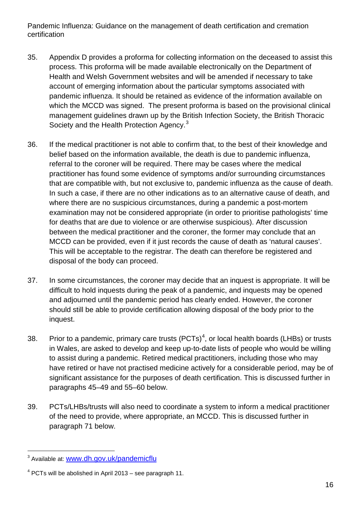- 35. Appendix D provides a proforma for collecting information on the deceased to assist this process. This proforma will be made available electronically on the Department of Health and Welsh Government websites and will be amended if necessary to take account of emerging information about the particular symptoms associated with pandemic influenza. It should be retained as evidence of the information available on which the MCCD was signed. The present proforma is based on the provisional clinical management guidelines drawn up by the British Infection Society, the British Thoracic Society and the Health Protection Agency.<sup>[3](#page-10-0)</sup>
- 36. If the medical practitioner is not able to confirm that, to the best of their knowledge and belief based on the information available, the death is due to pandemic influenza, referral to the coroner will be required. There may be cases where the medical practitioner has found some evidence of symptoms and/or surrounding circumstances that are compatible with, but not exclusive to, pandemic influenza as the cause of death. In such a case, if there are no other indications as to an alternative cause of death, and where there are no suspicious circumstances, during a pandemic a post-mortem examination may not be considered appropriate (in order to prioritise pathologists' time for deaths that are due to violence or are otherwise suspicious). After discussion between the medical practitioner and the coroner, the former may conclude that an MCCD can be provided, even if it just records the cause of death as 'natural causes'. This will be acceptable to the registrar. The death can therefore be registered and disposal of the body can proceed.
- 37. In some circumstances, the coroner may decide that an inquest is appropriate. It will be difficult to hold inquests during the peak of a pandemic, and inquests may be opened and adjourned until the pandemic period has clearly ended. However, the coroner should still be able to provide certification allowing disposal of the body prior to the inquest.
- 38. Prior to a pandemic, primary care trusts (PCTs)<sup>[4](#page-15-0)</sup>, or local health boards (LHBs) or trusts in Wales, are asked to develop and keep up-to-date lists of people who would be willing to assist during a pandemic. Retired medical practitioners, including those who may have retired or have not practised medicine actively for a considerable period, may be of significant assistance for the purposes of death certification. This is discussed further in paragraphs 45–49 and 55–60 below.
- 39. PCTs/LHBs/trusts will also need to coordinate a system to inform a medical practitioner of the need to provide, where appropriate, an MCCD. This is discussed further in paragraph 71 below.

<span id="page-15-1"></span><sup>&</sup>lt;sup>3</sup> Available at: [www.dh.gov.uk/pandemicflu](http://www.dh.gov.uk/pandemicflu)

<span id="page-15-0"></span> $4$  PCTs will be abolished in April 2013 – see paragraph 11.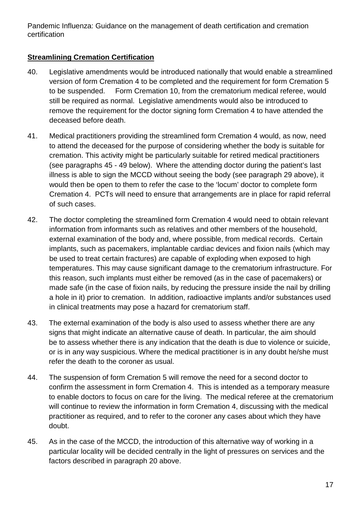## **Streamlining Cremation Certification**

- 40. Legislative amendments would be introduced nationally that would enable a streamlined version of form Cremation 4 to be completed and the requirement for form Cremation 5 to be suspended. Form Cremation 10, from the crematorium medical referee, would still be required as normal. Legislative amendments would also be introduced to remove the requirement for the doctor signing form Cremation 4 to have attended the deceased before death.
- 41. Medical practitioners providing the streamlined form Cremation 4 would, as now, need to attend the deceased for the purpose of considering whether the body is suitable for cremation. This activity might be particularly suitable for retired medical practitioners (see paragraphs 45 - 49 below). Where the attending doctor during the patient's last illness is able to sign the MCCD without seeing the body (see paragraph 29 above), it would then be open to them to refer the case to the 'locum' doctor to complete form Cremation 4. PCTs will need to ensure that arrangements are in place for rapid referral of such cases.
- 42. The doctor completing the streamlined form Cremation 4 would need to obtain relevant information from informants such as relatives and other members of the household, external examination of the body and, where possible, from medical records. Certain implants, such as pacemakers, implantable cardiac devices and fixion nails (which may be used to treat certain fractures) are capable of exploding when exposed to high temperatures. This may cause significant damage to the crematorium infrastructure. For this reason, such implants must either be removed (as in the case of pacemakers) or made safe (in the case of fixion nails, by reducing the pressure inside the nail by drilling a hole in it) prior to cremation. In addition, radioactive implants and/or substances used in clinical treatments may pose a hazard for crematorium staff.
- 43. The external examination of the body is also used to assess whether there are any signs that might indicate an alternative cause of death. In particular, the aim should be to assess whether there is any indication that the death is due to violence or suicide, or is in any way suspicious. Where the medical practitioner is in any doubt he/she must refer the death to the coroner as usual.
- 44. The suspension of form Cremation 5 will remove the need for a second doctor to confirm the assessment in form Cremation 4. This is intended as a temporary measure to enable doctors to focus on care for the living. The medical referee at the crematorium will continue to review the information in form Cremation 4, discussing with the medical practitioner as required, and to refer to the coroner any cases about which they have doubt.
- 45. As in the case of the MCCD, the introduction of this alternative way of working in a particular locality will be decided centrally in the light of pressures on services and the factors described in paragraph 20 above.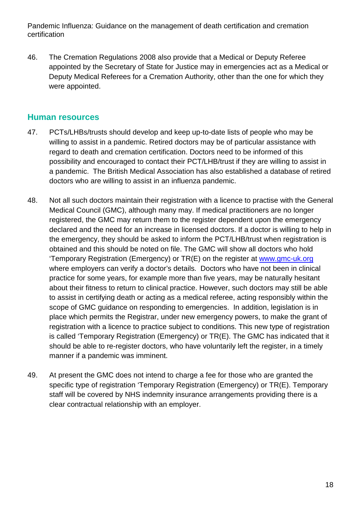46. The Cremation Regulations 2008 also provide that a Medical or Deputy Referee appointed by the Secretary of State for Justice may in emergencies act as a Medical or Deputy Medical Referees for a Cremation Authority, other than the one for which they were appointed.

## **Human resources**

- 47. PCTs/LHBs/trusts should develop and keep up-to-date lists of people who may be willing to assist in a pandemic. Retired doctors may be of particular assistance with regard to death and cremation certification. Doctors need to be informed of this possibility and encouraged to contact their PCT/LHB/trust if they are willing to assist in a pandemic. The British Medical Association has also established a database of retired doctors who are willing to assist in an influenza pandemic.
- 48. Not all such doctors maintain their registration with a licence to practise with the General Medical Council (GMC), although many may. If medical practitioners are no longer registered, the GMC may return them to the register dependent upon the emergency declared and the need for an increase in licensed doctors. If a doctor is willing to help in the emergency, they should be asked to inform the PCT/LHB/trust when registration is obtained and this should be noted on file. The GMC will show all doctors who hold 'Temporary Registration (Emergency) or TR(E) on the register at [www.gmc-uk.org](http://www.gmc-uk.org/) where employers can verify a doctor's details. Doctors who have not been in clinical practice for some years, for example more than five years, may be naturally hesitant about their fitness to return to clinical practice. However, such doctors may still be able to assist in certifying death or acting as a medical referee, acting responsibly within the scope of GMC guidance on responding to emergencies. In addition, legislation is in place which permits the Registrar, under new emergency powers, to make the grant of registration with a licence to practice subject to conditions. This new type of registration is called 'Temporary Registration (Emergency) or TR(E). The GMC has indicated that it should be able to re-register doctors, who have voluntarily left the register, in a timely manner if a pandemic was imminent.
- 49. At present the GMC does not intend to charge a fee for those who are granted the specific type of registration 'Temporary Registration (Emergency) or TR(E). Temporary staff will be covered by NHS indemnity insurance arrangements providing there is a clear contractual relationship with an employer.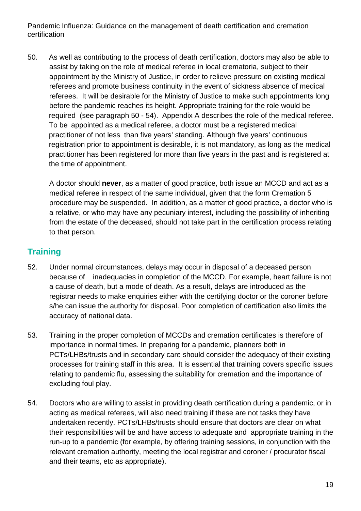50. As well as contributing to the process of death certification, doctors may also be able to assist by taking on the role of medical referee in local crematoria, subject to their appointment by the Ministry of Justice, in order to relieve pressure on existing medical referees and promote business continuity in the event of sickness absence of medical referees. It will be desirable for the Ministry of Justice to make such appointments long before the pandemic reaches its height. Appropriate training for the role would be required (see paragraph 50 - 54). Appendix A describes the role of the medical referee. To be appointed as a medical referee, a doctor must be a registered medical practitioner of not less than five years' standing. Although five years' continuous registration prior to appointment is desirable, it is not mandatory, as long as the medical practitioner has been registered for more than five years in the past and is registered at the time of appointment.

A doctor should **never**, as a matter of good practice, both issue an MCCD and act as a medical referee in respect of the same individual, given that the form Cremation 5 procedure may be suspended. In addition, as a matter of good practice, a doctor who is a relative, or who may have any pecuniary interest, including the possibility of inheriting from the estate of the deceased, should not take part in the certification process relating to that person.

# **Training**

- 52. Under normal circumstances, delays may occur in disposal of a deceased person because of inadequacies in completion of the MCCD. For example, heart failure is not a cause of death, but a mode of death. As a result, delays are introduced as the registrar needs to make enquiries either with the certifying doctor or the coroner before s/he can issue the authority for disposal. Poor completion of certification also limits the accuracy of national data.
- 53. Training in the proper completion of MCCDs and cremation certificates is therefore of importance in normal times. In preparing for a pandemic, planners both in PCTs/LHBs/trusts and in secondary care should consider the adequacy of their existing processes for training staff in this area. It is essential that training covers specific issues relating to pandemic flu, assessing the suitability for cremation and the importance of excluding foul play.
- 54. Doctors who are willing to assist in providing death certification during a pandemic, or in acting as medical referees, will also need training if these are not tasks they have undertaken recently. PCTs/LHBs/trusts should ensure that doctors are clear on what their responsibilities will be and have access to adequate and appropriate training in the run-up to a pandemic (for example, by offering training sessions, in conjunction with the relevant cremation authority, meeting the local registrar and coroner / procurator fiscal and their teams, etc as appropriate).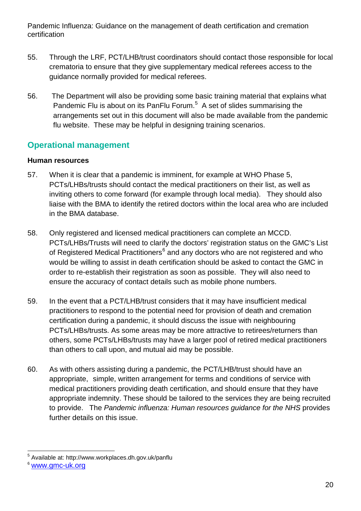- 55. Through the LRF, PCT/LHB/trust coordinators should contact those responsible for local crematoria to ensure that they give supplementary medical referees access to the guidance normally provided for medical referees.
- 56. The Department will also be providing some basic training material that explains what Pandemic Flu is about on its PanFlu Forum. $5$  A set of slides summarising the arrangements set out in this document will also be made available from the pandemic flu website. These may be helpful in designing training scenarios.

# **Operational management**

## **Human resources**

- 57. When it is clear that a pandemic is imminent, for example at WHO Phase 5, PCTs/LHBs/trusts should contact the medical practitioners on their list, as well as inviting others to come forward (for example through local media). They should also liaise with the BMA to identify the retired doctors within the local area who are included in the BMA database.
- 58. Only registered and licensed medical practitioners can complete an MCCD. PCTs/LHBs/Trusts will need to clarify the doctors' registration status on the GMC's List of Registered Medical Practitioners<sup>[6](#page-19-0)</sup> and any doctors who are not registered and who would be willing to assist in death certification should be asked to contact the GMC in order to re-establish their registration as soon as possible. They will also need to ensure the accuracy of contact details such as mobile phone numbers.
- 59. In the event that a PCT/LHB/trust considers that it may have insufficient medical practitioners to respond to the potential need for provision of death and cremation certification during a pandemic, it should discuss the issue with neighbouring PCTs/LHBs/trusts. As some areas may be more attractive to retirees/returners than others, some PCTs/LHBs/trusts may have a larger pool of retired medical practitioners than others to call upon, and mutual aid may be possible.
- 60. As with others assisting during a pandemic, the PCT/LHB/trust should have an appropriate, simple, written arrangement for terms and conditions of service with medical practitioners providing death certification, and should ensure that they have appropriate indemnity. These should be tailored to the services they are being recruited to provide. The *Pandemic influenza: Human resources guidance for the NHS* provides further details on this issue.

 <sup>5</sup> Available at: http://www.workplaces.dh.gov.uk/panflu

<span id="page-19-1"></span><span id="page-19-0"></span><sup>6</sup> [www.gmc-uk.org](http://www.gmc-uk.org/)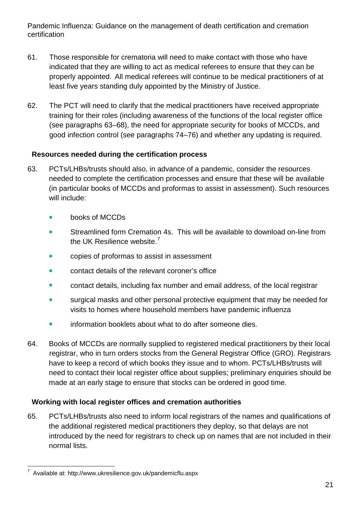- 61. Those responsible for crematoria will need to make contact with those who have indicated that they are willing to act as medical referees to ensure that they can be properly appointed. All medical referees will continue to be medical practitioners of at least five years standing duly appointed by the Ministry of Justice.
- 62. The PCT will need to clarify that the medical practitioners have received appropriate training for their roles (including awareness of the functions of the local register office (see paragraphs 63–68), the need for appropriate security for books of MCCDs, and good infection control (see paragraphs 74–76) and whether any updating is required.

## **Resources needed during the certification process**

- 63. PCTs/LHBs/trusts should also, in advance of a pandemic, consider the resources needed to complete the certification processes and ensure that these will be available (in particular books of MCCDs and proformas to assist in assessment). Such resources will include:
	- books of MCCDs
	- Streamlined form Cremation 4s. This will be available to download on-line from the UK Resilience website.<sup>[7](#page-19-1)</sup>
	- copies of proformas to assist in assessment
	- **•** contact details of the relevant coroner's office
	- contact details, including fax number and email address, of the local registrar
	- surgical masks and other personal protective equipment that may be needed for visits to homes where household members have pandemic influenza
	- **•** information booklets about what to do after someone dies.
- 64. Books of MCCDs are normally supplied to registered medical practitioners by their local registrar, who in turn orders stocks from the General Registrar Office (GRO). Registrars have to keep a record of which books they issue and to whom. PCTs/LHBs/trusts will need to contact their local register office about supplies; preliminary enquiries should be made at an early stage to ensure that stocks can be ordered in good time.

## **Working with local register offices and cremation authorities**

65. PCTs/LHBs/trusts also need to inform local registrars of the names and qualifications of the additional registered medical practitioners they deploy, so that delays are not introduced by the need for registrars to check up on names that are not included in their normal lists.

<span id="page-20-0"></span> <sup>7</sup> Available at: http://www.ukresilience.gov.uk/pandemicflu.aspx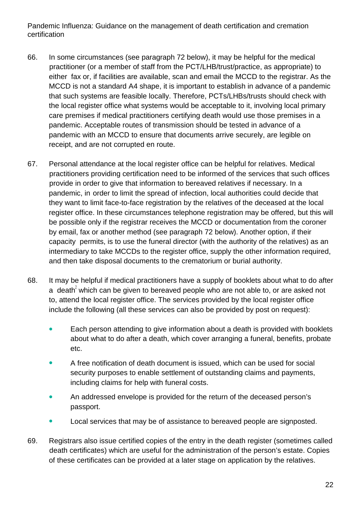- 66. In some circumstances (see paragraph 72 below), it may be helpful for the medical practitioner (or a member of staff from the PCT/LHB/trust/practice, as appropriate) to either fax or, if facilities are available, scan and email the MCCD to the registrar. As the MCCD is not a standard A4 shape, it is important to establish in advance of a pandemic that such systems are feasible locally. Therefore, PCTs/LHBs/trusts should check with the local register office what systems would be acceptable to it, involving local primary care premises if medical practitioners certifying death would use those premises in a pandemic. Acceptable routes of transmission should be tested in advance of a pandemic with an MCCD to ensure that documents arrive securely, are legible on receipt, and are not corrupted en route.
- 67. Personal attendance at the local register office can be helpful for relatives. Medical practitioners providing certification need to be informed of the services that such offices provide in order to give that information to bereaved relatives if necessary. In a pandemic, in order to limit the spread of infection, local authorities could decide that they want to limit face-to-face registration by the relatives of the deceased at the local register office. In these circumstances telephone registration may be offered, but this will be possible only if the registrar receives the MCCD or documentation from the coroner by email, fax or another method (see paragraph 72 below). Another option, if their capacity permits, is to use the funeral director (with the authority of the relatives) as an intermediary to take MCCDs to the register office, supply the other information required, and then take disposal documents to the crematorium or burial authority.
- 68. It may be helpful if medical practitioners have a supply of booklets about what to do after a death<sup>2</sup> which can be given to bereaved people who are not able to, or are asked not to, attend the local register office. The services provided by the local register office include the following (all these services can also be provided by post on request):
	- Each person attending to give information about a death is provided with booklets about what to do after a death, which cover arranging a funeral, benefits, probate etc.
	- A free notification of death document is issued, which can be used for social security purposes to enable settlement of outstanding claims and payments, including claims for help with funeral costs.
	- An addressed envelope is provided for the return of the deceased person's passport.
	- Local services that may be of assistance to bereaved people are signposted.
- 69. Registrars also issue certified copies of the entry in the death register (sometimes called death certificates) which are useful for the administration of the person's estate. Copies of these certificates can be provided at a later stage on application by the relatives.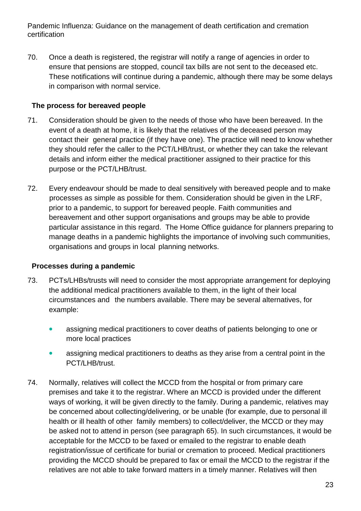70. Once a death is registered, the registrar will notify a range of agencies in order to ensure that pensions are stopped, council tax bills are not sent to the deceased etc. These notifications will continue during a pandemic, although there may be some delays in comparison with normal service.

## **The process for bereaved people**

- 71. Consideration should be given to the needs of those who have been bereaved. In the event of a death at home, it is likely that the relatives of the deceased person may contact their general practice (if they have one). The practice will need to know whether they should refer the caller to the PCT/LHB/trust, or whether they can take the relevant details and inform either the medical practitioner assigned to their practice for this purpose or the PCT/LHB/trust.
- 72. Every endeavour should be made to deal sensitively with bereaved people and to make processes as simple as possible for them. Consideration should be given in the LRF, prior to a pandemic, to support for bereaved people. Faith communities and bereavement and other support organisations and groups may be able to provide particular assistance in this regard. The Home Office guidance for planners preparing to manage deaths in a pandemic highlights the importance of involving such communities, organisations and groups in local planning networks.

## **Processes during a pandemic**

- 73. PCTs/LHBs/trusts will need to consider the most appropriate arrangement for deploying the additional medical practitioners available to them, in the light of their local circumstances and the numbers available. There may be several alternatives, for example:
	- assigning medical practitioners to cover deaths of patients belonging to one or more local practices
	- assigning medical practitioners to deaths as they arise from a central point in the PCT/LHB/trust.
- 74. Normally, relatives will collect the MCCD from the hospital or from primary care premises and take it to the registrar. Where an MCCD is provided under the different ways of working, it will be given directly to the family. During a pandemic, relatives may be concerned about collecting/delivering, or be unable (for example, due to personal ill health or ill health of other family members) to collect/deliver, the MCCD or they may be asked not to attend in person (see paragraph 65). In such circumstances, it would be acceptable for the MCCD to be faxed or emailed to the registrar to enable death registration/issue of certificate for burial or cremation to proceed. Medical practitioners providing the MCCD should be prepared to fax or email the MCCD to the registrar if the relatives are not able to take forward matters in a timely manner. Relatives will then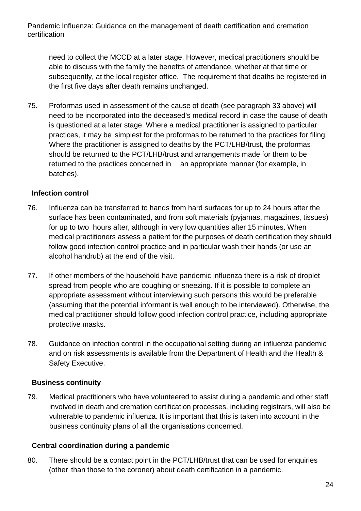need to collect the MCCD at a later stage. However, medical practitioners should be able to discuss with the family the benefits of attendance, whether at that time or subsequently, at the local register office. The requirement that deaths be registered in the first five days after death remains unchanged.

75. Proformas used in assessment of the cause of death (see paragraph 33 above) will need to be incorporated into the deceased's medical record in case the cause of death is questioned at a later stage. Where a medical practitioner is assigned to particular practices, it may be simplest for the proformas to be returned to the practices for filing. Where the practitioner is assigned to deaths by the PCT/LHB/trust, the proformas should be returned to the PCT/LHB/trust and arrangements made for them to be returned to the practices concerned in an appropriate manner (for example, in batches).

## **Infection control**

- 76. Influenza can be transferred to hands from hard surfaces for up to 24 hours after the surface has been contaminated, and from soft materials (pyjamas, magazines, tissues) for up to two hours after, although in very low quantities after 15 minutes. When medical practitioners assess a patient for the purposes of death certification they should follow good infection control practice and in particular wash their hands (or use an alcohol handrub) at the end of the visit.
- 77. If other members of the household have pandemic influenza there is a risk of droplet spread from people who are coughing or sneezing. If it is possible to complete an appropriate assessment without interviewing such persons this would be preferable (assuming that the potential informant is well enough to be interviewed). Otherwise, the medical practitioner should follow good infection control practice, including appropriate protective masks.
- 78. Guidance on infection control in the occupational setting during an influenza pandemic and on risk assessments is available from the Department of Health and the Health & Safety Executive.

## **Business continuity**

79. Medical practitioners who have volunteered to assist during a pandemic and other staff involved in death and cremation certification processes, including registrars, will also be vulnerable to pandemic influenza. It is important that this is taken into account in the business continuity plans of all the organisations concerned.

## **Central coordination during a pandemic**

80. There should be a contact point in the PCT/LHB/trust that can be used for enquiries (other than those to the coroner) about death certification in a pandemic.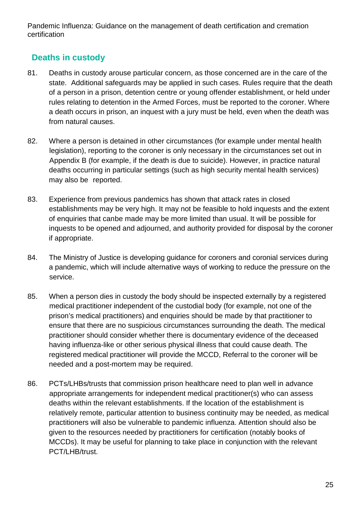# **Deaths in custody**

- 81. Deaths in custody arouse particular concern, as those concerned are in the care of the state. Additional safeguards may be applied in such cases. Rules require that the death of a person in a prison, detention centre or young offender establishment, or held under rules relating to detention in the Armed Forces, must be reported to the coroner. Where a death occurs in prison, an inquest with a jury must be held, even when the death was from natural causes.
- 82. Where a person is detained in other circumstances (for example under mental health legislation), reporting to the coroner is only necessary in the circumstances set out in Appendix B (for example, if the death is due to suicide). However, in practice natural deaths occurring in particular settings (such as high security mental health services) may also be reported.
- 83. Experience from previous pandemics has shown that attack rates in closed establishments may be very high. It may not be feasible to hold inquests and the extent of enquiries that canbe made may be more limited than usual. It will be possible for inquests to be opened and adjourned, and authority provided for disposal by the coroner if appropriate.
- 84. The Ministry of Justice is developing guidance for coroners and coronial services during a pandemic, which will include alternative ways of working to reduce the pressure on the service.
- 85. When a person dies in custody the body should be inspected externally by a registered medical practitioner independent of the custodial body (for example, not one of the prison's medical practitioners) and enquiries should be made by that practitioner to ensure that there are no suspicious circumstances surrounding the death. The medical practitioner should consider whether there is documentary evidence of the deceased having influenza-like or other serious physical illness that could cause death. The registered medical practitioner will provide the MCCD, Referral to the coroner will be needed and a post-mortem may be required.
- 86. PCTs/LHBs/trusts that commission prison healthcare need to plan well in advance appropriate arrangements for independent medical practitioner(s) who can assess deaths within the relevant establishments. If the location of the establishment is relatively remote, particular attention to business continuity may be needed, as medical practitioners will also be vulnerable to pandemic influenza. Attention should also be given to the resources needed by practitioners for certification (notably books of MCCDs). It may be useful for planning to take place in conjunction with the relevant PCT/LHB/trust.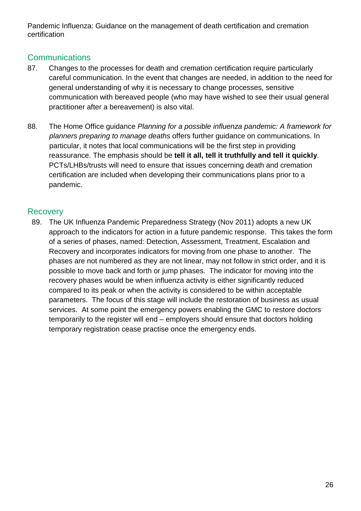## **Communications**

- 87. Changes to the processes for death and cremation certification require particularly careful communication. In the event that changes are needed, in addition to the need for general understanding of why it is necessary to change processes, sensitive communication with bereaved people (who may have wished to see their usual general practitioner after a bereavement) is also vital.
- 88. The Home Office guidance *Planning for a possible influenza pandemic: A framework for planners preparing to manage deaths* offers further guidance on communications. In particular, it notes that local communications will be the first step in providing reassurance. The emphasis should be **tell it all, tell it truthfully and tell it quickly**. PCTs/LHBs/trusts will need to ensure that issues concerning death and cremation certification are included when developing their communications plans prior to a pandemic.

## **Recovery**

89. The UK Influenza Pandemic Preparedness Strategy (Nov 2011) adopts a new UK approach to the indicators for action in a future pandemic response. This takes the form of a series of phases, named: Detection, Assessment, Treatment, Escalation and Recovery and incorporates indicators for moving from one phase to another. The phases are not numbered as they are not linear, may not follow in strict order, and it is possible to move back and forth or jump phases. The indicator for moving into the recovery phases would be when influenza activity is either significantly reduced compared to its peak or when the activity is considered to be within acceptable parameters. The focus of this stage will include the restoration of business as usual services. At some point the emergency powers enabling the GMC to restore doctors temporarily to the register will end – employers should ensure that doctors holding temporary registration cease practise once the emergency ends.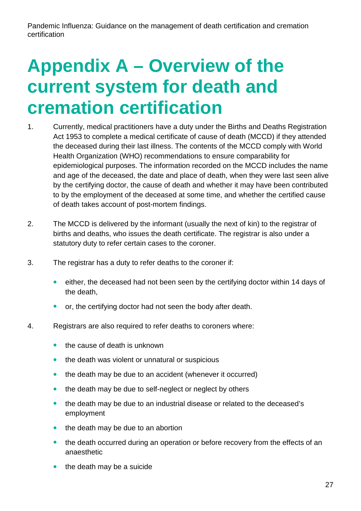# **Appendix A – Overview of the current system for death and cremation certification**

- 1. Currently, medical practitioners have a duty under the Births and Deaths Registration Act 1953 to complete a medical certificate of cause of death (MCCD) if they attended the deceased during their last illness. The contents of the MCCD comply with World Health Organization (WHO) recommendations to ensure comparability for epidemiological purposes. The information recorded on the MCCD includes the name and age of the deceased, the date and place of death, when they were last seen alive by the certifying doctor, the cause of death and whether it may have been contributed to by the employment of the deceased at some time, and whether the certified cause of death takes account of post-mortem findings.
- 2. The MCCD is delivered by the informant (usually the next of kin) to the registrar of births and deaths, who issues the death certificate. The registrar is also under a statutory duty to refer certain cases to the coroner.
- 3. The registrar has a duty to refer deaths to the coroner if:
	- either, the deceased had not been seen by the certifying doctor within 14 days of the death,
	- or, the certifying doctor had not seen the body after death.
- 4. Registrars are also required to refer deaths to coroners where:
	- the cause of death is unknown
	- the death was violent or unnatural or suspicious
	- the death may be due to an accident (whenever it occurred)
	- the death may be due to self-neglect or neglect by others
	- the death may be due to an industrial disease or related to the deceased's employment
	- $\bullet$  the death may be due to an abortion
	- the death occurred during an operation or before recovery from the effects of an anaesthetic
	- the death may be a suicide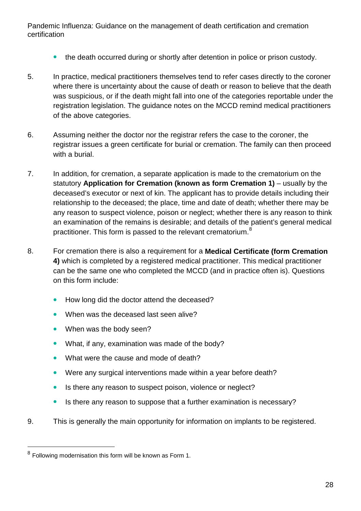- the death occurred during or shortly after detention in police or prison custody.
- 5. In practice, medical practitioners themselves tend to refer cases directly to the coroner where there is uncertainty about the cause of death or reason to believe that the death was suspicious, or if the death might fall into one of the categories reportable under the registration legislation. The guidance notes on the MCCD remind medical practitioners of the above categories.
- 6. Assuming neither the doctor nor the registrar refers the case to the coroner, the registrar issues a green certificate for burial or cremation. The family can then proceed with a burial.
- 7. In addition, for cremation, a separate application is made to the crematorium on the statutory **Application for Cremation (known as form Cremation 1)** – usually by the deceased's executor or next of kin. The applicant has to provide details including their relationship to the deceased; the place, time and date of death; whether there may be any reason to suspect violence, poison or neglect; whether there is any reason to think an examination of the remains is desirable; and details of the patient's general medical practitioner. This form is passed to the relevant crematorium.<sup>[8](#page-20-0)</sup>
- 8. For cremation there is also a requirement for a **Medical Certificate (form Cremation 4)** which is completed by a registered medical practitioner. This medical practitioner can be the same one who completed the MCCD (and in practice often is). Questions on this form include:
	- How long did the doctor attend the deceased?
	- When was the deceased last seen alive?
	- When was the body seen?
	- What, if any, examination was made of the body?
	- What were the cause and mode of death?
	- Were any surgical interventions made within a year before death?
	- Is there any reason to suspect poison, violence or neglect?
	- Is there any reason to suppose that a further examination is necessary?
- 9. This is generally the main opportunity for information on implants to be registered.

<span id="page-27-0"></span> <sup>8</sup> Following modernisation this form will be known as Form 1.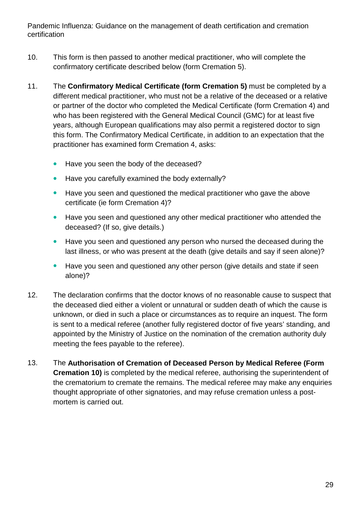- 10. This form is then passed to another medical practitioner, who will complete the confirmatory certificate described below (form Cremation 5).
- 11. The **Confirmatory Medical Certificate (form Cremation 5)** must be completed by a different medical practitioner, who must not be a relative of the deceased or a relative or partner of the doctor who completed the Medical Certificate (form Cremation 4) and who has been registered with the General Medical Council (GMC) for at least five years, although European qualifications may also permit a registered doctor to sign this form. The Confirmatory Medical Certificate, in addition to an expectation that the practitioner has examined form Cremation 4, asks:
	- Have you seen the body of the deceased?
	- Have you carefully examined the body externally?
	- Have you seen and questioned the medical practitioner who gave the above certificate (ie form Cremation 4)?
	- Have you seen and questioned any other medical practitioner who attended the deceased? (If so, give details.)
	- Have you seen and questioned any person who nursed the deceased during the last illness, or who was present at the death (give details and say if seen alone)?
	- Have you seen and questioned any other person (give details and state if seen alone)?
- 12. The declaration confirms that the doctor knows of no reasonable cause to suspect that the deceased died either a violent or unnatural or sudden death of which the cause is unknown, or died in such a place or circumstances as to require an inquest. The form is sent to a medical referee (another fully registered doctor of five years' standing, and appointed by the Ministry of Justice on the nomination of the cremation authority duly meeting the fees payable to the referee).
- 13. The **Authorisation of Cremation of Deceased Person by Medical Referee (Form Cremation 10)** is completed by the medical referee, authorising the superintendent of the crematorium to cremate the remains. The medical referee may make any enquiries thought appropriate of other signatories, and may refuse cremation unless a postmortem is carried out.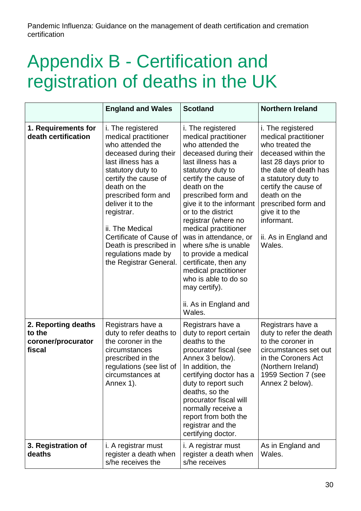# Appendix B - Certification and registration of deaths in the UK

|                                                               | <b>England and Wales</b>                                                                                                                                                                                                                                                                                                                                     | <b>Scotland</b>                                                                                                                                                                                                                                                                                                                                                                                                                                                                                         | <b>Northern Ireland</b>                                                                                                                                                                                                                                                                        |
|---------------------------------------------------------------|--------------------------------------------------------------------------------------------------------------------------------------------------------------------------------------------------------------------------------------------------------------------------------------------------------------------------------------------------------------|---------------------------------------------------------------------------------------------------------------------------------------------------------------------------------------------------------------------------------------------------------------------------------------------------------------------------------------------------------------------------------------------------------------------------------------------------------------------------------------------------------|------------------------------------------------------------------------------------------------------------------------------------------------------------------------------------------------------------------------------------------------------------------------------------------------|
| 1. Requirements for<br>death certification                    | i. The registered<br>medical practitioner<br>who attended the<br>deceased during their<br>last illness has a<br>statutory duty to<br>certify the cause of<br>death on the<br>prescribed form and<br>deliver it to the<br>registrar.<br>ii. The Medical<br>Certificate of Cause of<br>Death is prescribed in<br>regulations made by<br>the Registrar General. | i. The registered<br>medical practitioner<br>who attended the<br>deceased during their<br>last illness has a<br>statutory duty to<br>certify the cause of<br>death on the<br>prescribed form and<br>give it to the informant<br>or to the district<br>registrar (where no<br>medical practitioner<br>was in attendance, or<br>where s/he is unable<br>to provide a medical<br>certificate, then any<br>medical practitioner<br>who is able to do so<br>may certify).<br>ii. As in England and<br>Wales. | i. The registered<br>medical practitioner<br>who treated the<br>deceased within the<br>last 28 days prior to<br>the date of death has<br>a statutory duty to<br>certify the cause of<br>death on the<br>prescribed form and<br>give it to the<br>informant.<br>ii. As in England and<br>Wales. |
| 2. Reporting deaths<br>to the<br>coroner/procurator<br>fiscal | Registrars have a<br>duty to refer deaths to<br>the coroner in the<br>circumstances<br>prescribed in the<br>regulations (see list of<br>circumstances at<br>Annex 1).                                                                                                                                                                                        | Registrars have a<br>duty to report certain<br>deaths to the<br>procurator fiscal (see<br>Annex 3 below).<br>In addition, the<br>certifying doctor has a<br>duty to report such<br>deaths, so the<br>procurator fiscal will<br>normally receive a<br>report from both the<br>registrar and the<br>certifying doctor.                                                                                                                                                                                    | Registrars have a<br>duty to refer the death<br>to the coroner in<br>circumstances set out<br>in the Coroners Act<br>(Northern Ireland)<br>1959 Section 7 (see<br>Annex 2 below).                                                                                                              |
| 3. Registration of<br>deaths                                  | i. A registrar must<br>register a death when<br>s/he receives the                                                                                                                                                                                                                                                                                            | i. A registrar must<br>register a death when<br>s/he receives                                                                                                                                                                                                                                                                                                                                                                                                                                           | As in England and<br>Wales.                                                                                                                                                                                                                                                                    |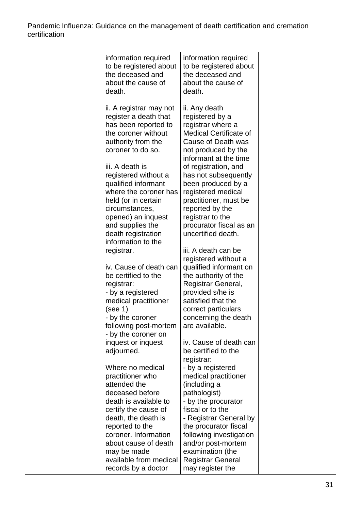| information required<br>to be registered about<br>the deceased and<br>about the cause of<br>death.                                                                                                                                                                                                   | information required<br>to be registered about<br>the deceased and<br>about the cause of<br>death.                                                                                                                                                                                                                       |  |
|------------------------------------------------------------------------------------------------------------------------------------------------------------------------------------------------------------------------------------------------------------------------------------------------------|--------------------------------------------------------------------------------------------------------------------------------------------------------------------------------------------------------------------------------------------------------------------------------------------------------------------------|--|
| ii. A registrar may not<br>register a death that<br>has been reported to<br>the coroner without<br>authority from the<br>coroner to do so.<br>iii. A death is<br>registered without a<br>qualified informant<br>where the coroner has<br>held (or in certain<br>circumstances,<br>opened) an inquest | ii. Any death<br>registered by a<br>registrar where a<br><b>Medical Certificate of</b><br>Cause of Death was<br>not produced by the<br>informant at the time<br>of registration, and<br>has not subsequently<br>been produced by a<br>registered medical<br>practitioner, must be<br>reported by the<br>registrar to the |  |
| and supplies the<br>death registration<br>information to the<br>registrar.                                                                                                                                                                                                                           | procurator fiscal as an<br>uncertified death.<br>iii. A death can be                                                                                                                                                                                                                                                     |  |
| iv. Cause of death can<br>be certified to the<br>registrar:<br>- by a registered<br>medical practitioner<br>(see 1)<br>- by the coroner<br>following post-mortem<br>- by the coroner on                                                                                                              | registered without a<br>qualified informant on<br>the authority of the<br>Registrar General,<br>provided s/he is<br>satisfied that the<br>correct particulars<br>concerning the death<br>are available.                                                                                                                  |  |
| inquest or inquest<br>adjourned.<br>Where no medical<br>practitioner who                                                                                                                                                                                                                             | iv. Cause of death can<br>be certified to the<br>registrar:<br>- by a registered<br>medical practitioner                                                                                                                                                                                                                 |  |
| attended the<br>deceased before<br>death is available to<br>certify the cause of<br>death, the death is<br>reported to the<br>coroner. Information                                                                                                                                                   | (including a<br>pathologist)<br>- by the procurator<br>fiscal or to the<br>- Registrar General by<br>the procurator fiscal<br>following investigation                                                                                                                                                                    |  |
| about cause of death<br>may be made<br>available from medical<br>records by a doctor                                                                                                                                                                                                                 | and/or post-mortem<br>examination (the<br><b>Registrar General</b><br>may register the                                                                                                                                                                                                                                   |  |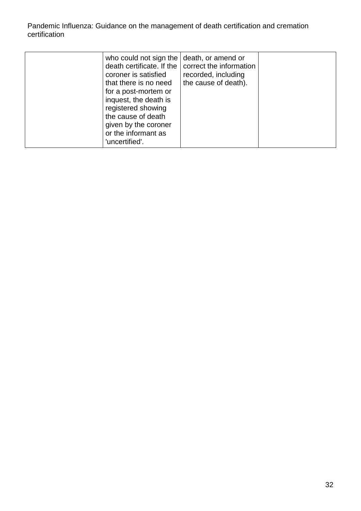| who could not sign the   death, or amend or<br>death certificate. If the<br>coroner is satisfied<br>that there is no need<br>for a post-mortem or<br>inquest, the death is<br>registered showing<br>the cause of death<br>given by the coroner<br>or the informant as<br>'uncertified'. | correct the information<br>recorded, including<br>the cause of death). |  |
|-----------------------------------------------------------------------------------------------------------------------------------------------------------------------------------------------------------------------------------------------------------------------------------------|------------------------------------------------------------------------|--|
|-----------------------------------------------------------------------------------------------------------------------------------------------------------------------------------------------------------------------------------------------------------------------------------------|------------------------------------------------------------------------|--|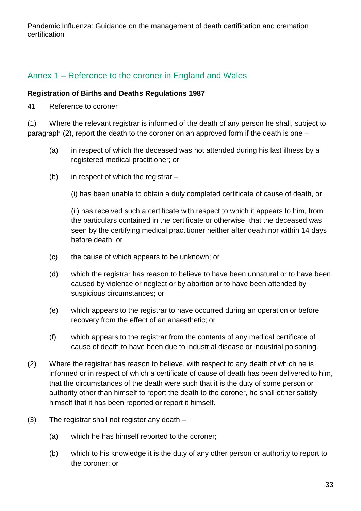# Annex 1 – Reference to the coroner in England and Wales

#### **Registration of Births and Deaths Regulations 1987**

41 Reference to coroner

(1) Where the relevant registrar is informed of the death of any person he shall, subject to paragraph (2), report the death to the coroner on an approved form if the death is one –

- (a) in respect of which the deceased was not attended during his last illness by a registered medical practitioner; or
- (b) in respect of which the registrar –

(i) has been unable to obtain a duly completed certificate of cause of death, or

(ii) has received such a certificate with respect to which it appears to him, from the particulars contained in the certificate or otherwise, that the deceased was seen by the certifying medical practitioner neither after death nor within 14 days before death; or

- (c) the cause of which appears to be unknown; or
- (d) which the registrar has reason to believe to have been unnatural or to have been caused by violence or neglect or by abortion or to have been attended by suspicious circumstances; or
- (e) which appears to the registrar to have occurred during an operation or before recovery from the effect of an anaesthetic; or
- (f) which appears to the registrar from the contents of any medical certificate of cause of death to have been due to industrial disease or industrial poisoning.
- (2) Where the registrar has reason to believe, with respect to any death of which he is informed or in respect of which a certificate of cause of death has been delivered to him, that the circumstances of the death were such that it is the duty of some person or authority other than himself to report the death to the coroner, he shall either satisfy himself that it has been reported or report it himself.
- (3) The registrar shall not register any death
	- (a) which he has himself reported to the coroner;
	- (b) which to his knowledge it is the duty of any other person or authority to report to the coroner; or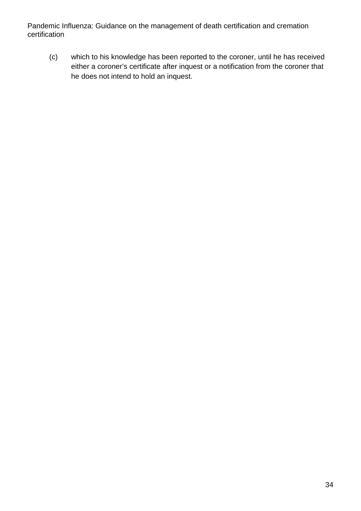(c) which to his knowledge has been reported to the coroner, until he has received either a coroner's certificate after inquest or a notification from the coroner that he does not intend to hold an inquest.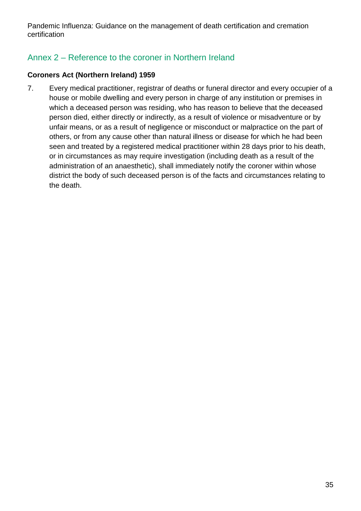# Annex 2 – Reference to the coroner in Northern Ireland

## **Coroners Act (Northern Ireland) 1959**

7. Every medical practitioner, registrar of deaths or funeral director and every occupier of a house or mobile dwelling and every person in charge of any institution or premises in which a deceased person was residing, who has reason to believe that the deceased person died, either directly or indirectly, as a result of violence or misadventure or by unfair means, or as a result of negligence or misconduct or malpractice on the part of others, or from any cause other than natural illness or disease for which he had been seen and treated by a registered medical practitioner within 28 days prior to his death, or in circumstances as may require investigation (including death as a result of the administration of an anaesthetic), shall immediately notify the coroner within whose district the body of such deceased person is of the facts and circumstances relating to the death.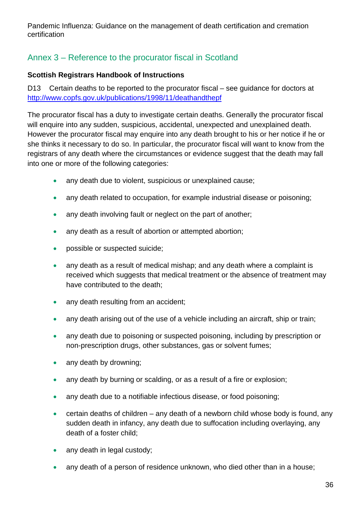# Annex 3 – Reference to the procurator fiscal in Scotland

## **Scottish Registrars Handbook of Instructions**

D13 Certain deaths to be reported to the procurator fiscal – see guidance for doctors at <http://www.copfs.gov.uk/publications/1998/11/deathandthepf>

The procurator fiscal has a duty to investigate certain deaths. Generally the procurator fiscal will enquire into any sudden, suspicious, accidental, unexpected and unexplained death. However the procurator fiscal may enquire into any death brought to his or her notice if he or she thinks it necessary to do so. In particular, the procurator fiscal will want to know from the registrars of any death where the circumstances or evidence suggest that the death may fall into one or more of the following categories:

- any death due to violent, suspicious or unexplained cause;
- any death related to occupation, for example industrial disease or poisoning;
- any death involving fault or neglect on the part of another;
- any death as a result of abortion or attempted abortion;
- possible or suspected suicide;
- any death as a result of medical mishap; and any death where a complaint is received which suggests that medical treatment or the absence of treatment may have contributed to the death;
- any death resulting from an accident;
- any death arising out of the use of a vehicle including an aircraft, ship or train;
- any death due to poisoning or suspected poisoning, including by prescription or non-prescription drugs, other substances, gas or solvent fumes;
- any death by drowning;
- any death by burning or scalding, or as a result of a fire or explosion;
- any death due to a notifiable infectious disease, or food poisoning;
- certain deaths of children any death of a newborn child whose body is found, any sudden death in infancy, any death due to suffocation including overlaying, any death of a foster child;
- any death in legal custody;
- any death of a person of residence unknown, who died other than in a house;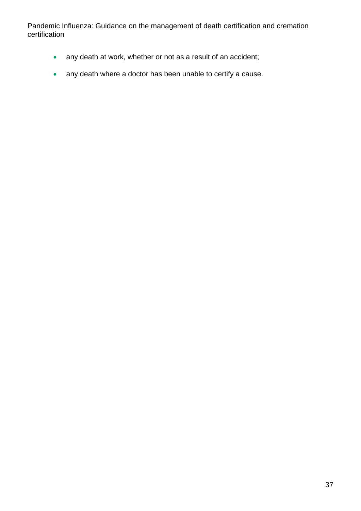- any death at work, whether or not as a result of an accident;
- any death where a doctor has been unable to certify a cause.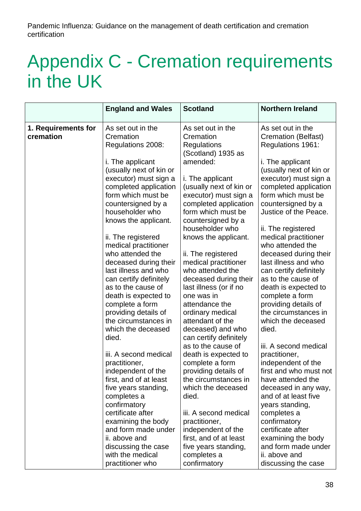# Appendix C - Cremation requirements in the UK

|                                  | <b>England and Wales</b>                       | <b>Scotland</b>                                      | <b>Northern Ireland</b>                        |
|----------------------------------|------------------------------------------------|------------------------------------------------------|------------------------------------------------|
| 1. Requirements for<br>cremation | As set out in the<br>Cremation                 | As set out in the<br>Cremation                       | As set out in the<br>Cremation (Belfast)       |
|                                  | Regulations 2008:<br>i. The applicant          | <b>Regulations</b><br>(Scotland) 1935 as<br>amended: | Regulations 1961:<br>i. The applicant          |
|                                  | (usually next of kin or                        |                                                      | (usually next of kin or                        |
|                                  | executor) must sign a<br>completed application | i. The applicant<br>(usually next of kin or          | executor) must sign a<br>completed application |
|                                  | form which must be                             | executor) must sign a                                | form which must be                             |
|                                  | countersigned by a<br>householder who          | completed application<br>form which must be          | countersigned by a<br>Justice of the Peace.    |
| knows the applicant.             |                                                | countersigned by a<br>householder who                | ii. The registered                             |
|                                  | ii. The registered                             | knows the applicant.                                 | medical practitioner                           |
|                                  | medical practitioner<br>who attended the       | ii. The registered                                   | who attended the<br>deceased during their      |
|                                  | deceased during their<br>last illness and who  | medical practitioner<br>who attended the             | last illness and who<br>can certify definitely |
|                                  | can certify definitely<br>as to the cause of   | deceased during their                                | as to the cause of                             |
|                                  | death is expected to                           | last illness (or if no<br>one was in                 | death is expected to<br>complete a form        |
|                                  | complete a form<br>providing details of        | attendance the<br>ordinary medical                   | providing details of<br>the circumstances in   |
|                                  | the circumstances in<br>which the deceased     | attendant of the                                     | which the deceased<br>died.                    |
|                                  | died.                                          | deceased) and who<br>can certify definitely          |                                                |
|                                  | iii. A second medical                          | as to the cause of<br>death is expected to           | iii. A second medical<br>practitioner,         |
|                                  | practitioner,                                  | complete a form                                      | independent of the<br>first and who must not   |
|                                  | independent of the<br>first, and of at least   | providing details of<br>the circumstances in         | have attended the                              |
|                                  | five years standing,<br>completes a            | which the deceased<br>died.                          | deceased in any way,<br>and of at least five   |
|                                  | confirmatory                                   |                                                      | years standing,                                |
|                                  | certificate after<br>examining the body        | iii. A second medical<br>practitioner,               | completes a<br>confirmatory                    |
|                                  | and form made under<br>ii. above and           | independent of the<br>first, and of at least         | certificate after<br>examining the body        |
|                                  | discussing the case                            | five years standing,                                 | and form made under                            |
|                                  | with the medical<br>practitioner who           | completes a<br>confirmatory                          | ii. above and<br>discussing the case           |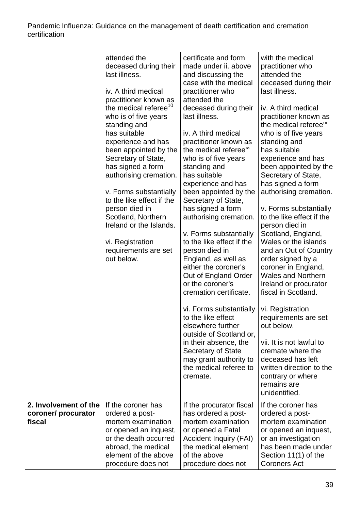|                                                        | attended the<br>deceased during their<br>last illness.<br>iv. A third medical<br>practitioner known as<br>the medical referee <sup>10</sup><br>who is of five years<br>standing and<br>has suitable<br>experience and has<br>been appointed by the<br>Secretary of State,<br>has signed a form<br>authorising cremation.<br>v. Forms substantially<br>to the like effect if the<br>person died in<br>Scotland, Northern<br>Ireland or the Islands.<br>vi. Registration<br>requirements are set<br>out below. | certificate and form<br>made under ii. above<br>and discussing the<br>case with the medical<br>practitioner who<br>attended the<br>deceased during their<br>last illness.<br>iv. A third medical<br>practitioner known as<br>the medical referee' <sup>o</sup><br>who is of five years<br>standing and<br>has suitable<br>experience and has<br>been appointed by the<br>Secretary of State,<br>has signed a form<br>authorising cremation.<br>v. Forms substantially<br>to the like effect if the<br>person died in<br>England, as well as<br>either the coroner's<br>Out of England Order<br>or the coroner's<br>cremation certificate. | with the medical<br>practitioner who<br>attended the<br>deceased during their<br>last illness.<br>iv. A third medical<br>practitioner known as<br>the medical referee' <sup>o</sup><br>who is of five years<br>standing and<br>has suitable<br>experience and has<br>been appointed by the<br>Secretary of State,<br>has signed a form<br>authorising cremation.<br>v. Forms substantially<br>to the like effect if the<br>person died in<br>Scotland, England,<br>Wales or the islands<br>and an Out of Country<br>order signed by a<br>coroner in England,<br><b>Wales and Northern</b><br>Ireland or procurator<br>fiscal in Scotland. |
|--------------------------------------------------------|--------------------------------------------------------------------------------------------------------------------------------------------------------------------------------------------------------------------------------------------------------------------------------------------------------------------------------------------------------------------------------------------------------------------------------------------------------------------------------------------------------------|-------------------------------------------------------------------------------------------------------------------------------------------------------------------------------------------------------------------------------------------------------------------------------------------------------------------------------------------------------------------------------------------------------------------------------------------------------------------------------------------------------------------------------------------------------------------------------------------------------------------------------------------|-------------------------------------------------------------------------------------------------------------------------------------------------------------------------------------------------------------------------------------------------------------------------------------------------------------------------------------------------------------------------------------------------------------------------------------------------------------------------------------------------------------------------------------------------------------------------------------------------------------------------------------------|
|                                                        |                                                                                                                                                                                                                                                                                                                                                                                                                                                                                                              | vi. Forms substantially<br>to the like effect<br>elsewhere further<br>outside of Scotland or,<br>in their absence, the<br><b>Secretary of State</b><br>may grant authority to<br>the medical referee to<br>cremate.                                                                                                                                                                                                                                                                                                                                                                                                                       | vi. Registration<br>requirements are set<br>out below.<br>vii. It is not lawful to<br>cremate where the<br>deceased has left<br>written direction to the<br>contrary or where<br>remains are<br>unidentified.                                                                                                                                                                                                                                                                                                                                                                                                                             |
| 2. Involvement of the<br>coroner/ procurator<br>fiscal | If the coroner has<br>ordered a post-<br>mortem examination<br>or opened an inquest,<br>or the death occurred<br>abroad, the medical<br>element of the above<br>procedure does not                                                                                                                                                                                                                                                                                                                           | If the procurator fiscal<br>has ordered a post-<br>mortem examination<br>or opened a Fatal<br><b>Accident Inquiry (FAI)</b><br>the medical element<br>of the above<br>procedure does not                                                                                                                                                                                                                                                                                                                                                                                                                                                  | If the coroner has<br>ordered a post-<br>mortem examination<br>or opened an inquest,<br>or an investigation<br>has been made under<br>Section 11(1) of the<br><b>Coroners Act</b>                                                                                                                                                                                                                                                                                                                                                                                                                                                         |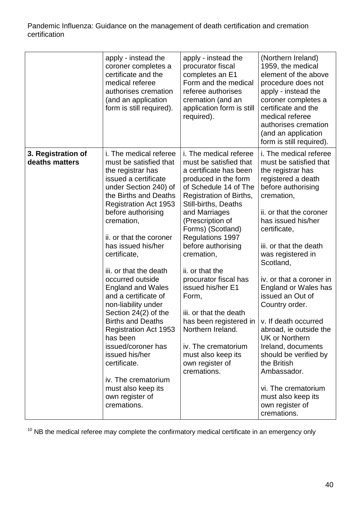|                                      | apply - instead the<br>coroner completes a<br>certificate and the<br>medical referee<br>authorises cremation<br>(and an application<br>form is still required).                                                                                                                                                                                                                                                                                                                                                                                                                                                                                      | apply - instead the<br>procurator fiscal<br>completes an E1<br>Form and the medical<br>referee authorises<br>cremation (and an<br>application form is still<br>required).                                                                                                                                                                                                                                                                                                                                                                                                      | (Northern Ireland)<br>1959, the medical<br>element of the above<br>procedure does not<br>apply - instead the<br>coroner completes a<br>certificate and the<br>medical referee<br>authorises cremation<br>(and an application<br>form is still required).                                                                                                                                                                                                                                                                                                                     |
|--------------------------------------|------------------------------------------------------------------------------------------------------------------------------------------------------------------------------------------------------------------------------------------------------------------------------------------------------------------------------------------------------------------------------------------------------------------------------------------------------------------------------------------------------------------------------------------------------------------------------------------------------------------------------------------------------|--------------------------------------------------------------------------------------------------------------------------------------------------------------------------------------------------------------------------------------------------------------------------------------------------------------------------------------------------------------------------------------------------------------------------------------------------------------------------------------------------------------------------------------------------------------------------------|------------------------------------------------------------------------------------------------------------------------------------------------------------------------------------------------------------------------------------------------------------------------------------------------------------------------------------------------------------------------------------------------------------------------------------------------------------------------------------------------------------------------------------------------------------------------------|
| 3. Registration of<br>deaths matters | i. The medical referee<br>must be satisfied that<br>the registrar has<br>issued a certificate<br>under Section 240) of<br>the Births and Deaths<br><b>Registration Act 1953</b><br>before authorising<br>cremation,<br>ii. or that the coroner<br>has issued his/her<br>certificate,<br>iii. or that the death<br>occurred outside<br><b>England and Wales</b><br>and a certificate of<br>non-liability under<br>Section 24(2) of the<br><b>Births and Deaths</b><br><b>Registration Act 1953</b><br>has been<br>issued/coroner has<br>issued his/her<br>certificate.<br>iv. The crematorium<br>must also keep its<br>own register of<br>cremations. | i. The medical referee<br>must be satisfied that<br>a certificate has been<br>produced in the form<br>of Schedule 14 of The<br>Registration of Births,<br><b>Still-births, Deaths</b><br>and Marriages<br>(Prescription of<br>Forms) (Scotland)<br><b>Regulations 1997</b><br>before authorising<br>cremation,<br>ii. or that the<br>procurator fiscal has<br>issued his/her E1<br>Form,<br>iii. or that the death<br>has been registered in $\vert v$ . If death occurred<br>Northern Ireland.<br>iv. The crematorium<br>must also keep its<br>own register of<br>cremations. | i. The medical referee<br>must be satisfied that<br>the registrar has<br>registered a death<br>before authorising<br>cremation,<br>ii. or that the coroner<br>has issued his/her<br>certificate,<br>iii. or that the death<br>was registered in<br>Scotland,<br>iv. or that a coroner in<br><b>England or Wales has</b><br>issued an Out of<br>Country order.<br>abroad, ie outside the<br><b>UK or Northern</b><br>Ireland, documents<br>should be verified by<br>the British<br>Ambassador.<br>vi. The crematorium<br>must also keep its<br>own register of<br>cremations. |

 $10$  NB the medical referee may complete the confirmatory medical certificate in an emergency only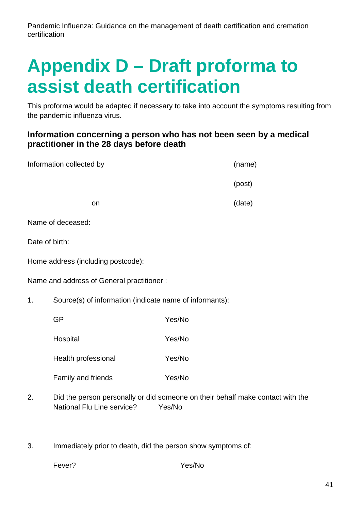# **Appendix D – Draft proforma to assist death certification**

This proforma would be adapted if necessary to take into account the symptoms resulting from the pandemic influenza virus.

## **Information concerning a person who has not been seen by a medical practitioner in the 28 days before death**

|                                           | Information collected by                                |        | (name) |
|-------------------------------------------|---------------------------------------------------------|--------|--------|
|                                           |                                                         |        | (post) |
|                                           | on                                                      |        | (date) |
|                                           | Name of deceased:                                       |        |        |
| Date of birth:                            |                                                         |        |        |
| Home address (including postcode):        |                                                         |        |        |
| Name and address of General practitioner: |                                                         |        |        |
| 1 <sub>1</sub>                            | Source(s) of information (indicate name of informants): |        |        |
|                                           | <b>GP</b>                                               | Yes/No |        |
|                                           | Hospital                                                | Yes/No |        |
|                                           | Health professional                                     | Yes/No |        |
|                                           | Family and friends                                      | Yes/No |        |
|                                           |                                                         |        |        |

- 2. Did the person personally or did someone on their behalf make contact with the National Flu Line service? Yes/No
- 3. Immediately prior to death, did the person show symptoms of:

Fever? Yes/No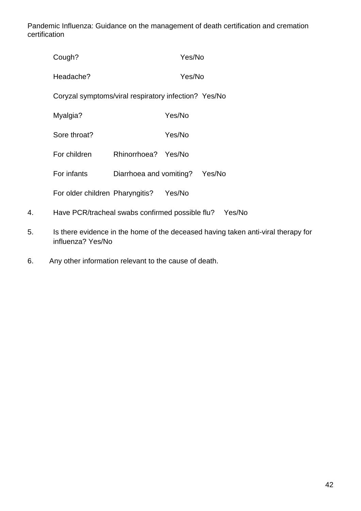|    | Cough?                                                 |                         | Yes/No |        |  |
|----|--------------------------------------------------------|-------------------------|--------|--------|--|
|    | Headache?                                              |                         | Yes/No |        |  |
|    | Coryzal symptoms/viral respiratory infection? Yes/No   |                         |        |        |  |
|    | Myalgia?                                               |                         | Yes/No |        |  |
|    | Sore throat?                                           |                         | Yes/No |        |  |
|    | For children                                           | Rhinorrhoea? Yes/No     |        |        |  |
|    | For infants                                            | Diarrhoea and vomiting? |        | Yes/No |  |
|    | For older children Pharyngitis?                        |                         | Yes/No |        |  |
| 4. | Have PCR/tracheal swabs confirmed possible flu? Yes/No |                         |        |        |  |
|    |                                                        |                         |        |        |  |

- 5. Is there evidence in the home of the deceased having taken anti-viral therapy for influenza? Yes/No
- 6. Any other information relevant to the cause of death.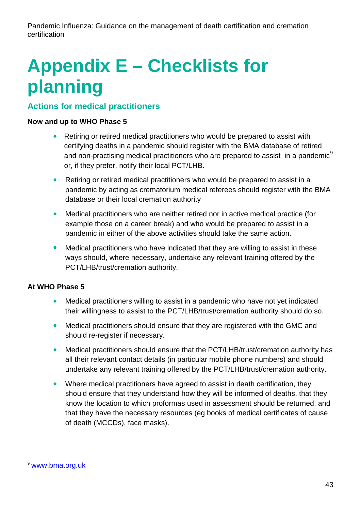# **Appendix E – Checklists for planning**

## **Actions for medical practitioners**

## **Now and up to WHO Phase 5**

- Retiring or retired medical practitioners who would be prepared to assist with certifying deaths in a pandemic should register with the BMA database of retired and non-practising medical practitioners who are prepared to assist in a pandemic<sup>[9](#page-27-0)</sup> or, if they prefer, notify their local PCT/LHB.
- Retiring or retired medical practitioners who would be prepared to assist in a pandemic by acting as crematorium medical referees should register with the BMA database or their local cremation authority
- Medical practitioners who are neither retired nor in active medical practice (for example those on a career break) and who would be prepared to assist in a pandemic in either of the above activities should take the same action.
- Medical practitioners who have indicated that they are willing to assist in these ways should, where necessary, undertake any relevant training offered by the PCT/LHB/trust/cremation authority.

## **At WHO Phase 5**

- Medical practitioners willing to assist in a pandemic who have not yet indicated their willingness to assist to the PCT/LHB/trust/cremation authority should do so.
- Medical practitioners should ensure that they are registered with the GMC and should re-register if necessary.
- Medical practitioners should ensure that the PCT/LHB/trust/cremation authority has all their relevant contact details (in particular mobile phone numbers) and should undertake any relevant training offered by the PCT/LHB/trust/cremation authority.
- Where medical practitioners have agreed to assist in death certification, they should ensure that they understand how they will be informed of deaths, that they know the location to which proformas used in assessment should be returned, and that they have the necessary resources (eg books of medical certificates of cause of death (MCCDs), face masks).

[www.bma.org.uk](http://www.bma.org.uk/)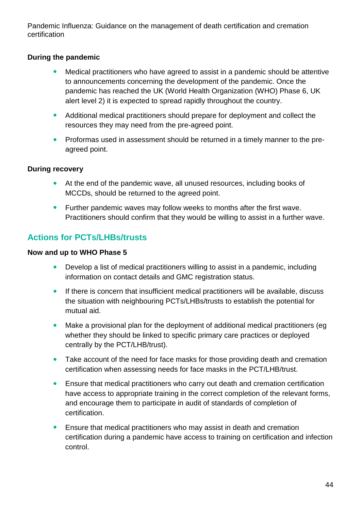## **During the pandemic**

- Medical practitioners who have agreed to assist in a pandemic should be attentive to announcements concerning the development of the pandemic. Once the pandemic has reached the UK (World Health Organization (WHO) Phase 6, UK alert level 2) it is expected to spread rapidly throughout the country.
- Additional medical practitioners should prepare for deployment and collect the resources they may need from the pre-agreed point.
- Proformas used in assessment should be returned in a timely manner to the preagreed point.

## **During recovery**

- At the end of the pandemic wave, all unused resources, including books of MCCDs, should be returned to the agreed point.
- Further pandemic waves may follow weeks to months after the first wave. Practitioners should confirm that they would be willing to assist in a further wave.

# **Actions for PCTs/LHBs/trusts**

## **Now and up to WHO Phase 5**

- Develop a list of medical practitioners willing to assist in a pandemic, including information on contact details and GMC registration status.
- If there is concern that insufficient medical practitioners will be available, discuss the situation with neighbouring PCTs/LHBs/trusts to establish the potential for mutual aid.
- Make a provisional plan for the deployment of additional medical practitioners (eg whether they should be linked to specific primary care practices or deployed centrally by the PCT/LHB/trust).
- Take account of the need for face masks for those providing death and cremation certification when assessing needs for face masks in the PCT/LHB/trust.
- Ensure that medical practitioners who carry out death and cremation certification have access to appropriate training in the correct completion of the relevant forms, and encourage them to participate in audit of standards of completion of certification.
- Ensure that medical practitioners who may assist in death and cremation certification during a pandemic have access to training on certification and infection control.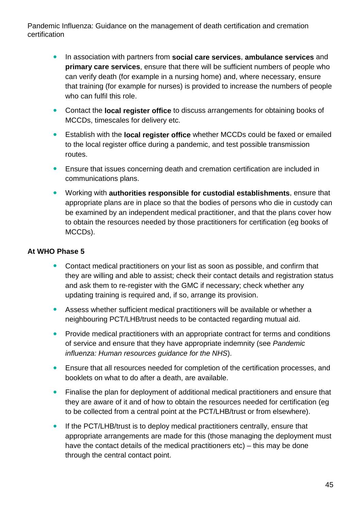- In association with partners from **social care services**, **ambulance services** and **primary care services**, ensure that there will be sufficient numbers of people who can verify death (for example in a nursing home) and, where necessary, ensure that training (for example for nurses) is provided to increase the numbers of people who can fulfil this role.
- Contact the **local register office** to discuss arrangements for obtaining books of MCCDs, timescales for delivery etc.
- Establish with the **local register office** whether MCCDs could be faxed or emailed to the local register office during a pandemic, and test possible transmission routes.
- Ensure that issues concerning death and cremation certification are included in communications plans.
- Working with **authorities responsible for custodial establishments**, ensure that appropriate plans are in place so that the bodies of persons who die in custody can be examined by an independent medical practitioner, and that the plans cover how to obtain the resources needed by those practitioners for certification (eg books of MCCDs).

## **At WHO Phase 5**

- Contact medical practitioners on your list as soon as possible, and confirm that they are willing and able to assist; check their contact details and registration status and ask them to re-register with the GMC if necessary; check whether any updating training is required and, if so, arrange its provision.
- Assess whether sufficient medical practitioners will be available or whether a neighbouring PCT/LHB/trust needs to be contacted regarding mutual aid.
- Provide medical practitioners with an appropriate contract for terms and conditions of service and ensure that they have appropriate indemnity (see *Pandemic influenza: Human resources guidance for the NHS*).
- Ensure that all resources needed for completion of the certification processes, and booklets on what to do after a death, are available.
- Finalise the plan for deployment of additional medical practitioners and ensure that they are aware of it and of how to obtain the resources needed for certification (eg to be collected from a central point at the PCT/LHB/trust or from elsewhere).
- If the PCT/LHB/trust is to deploy medical practitioners centrally, ensure that appropriate arrangements are made for this (those managing the deployment must have the contact details of the medical practitioners etc) – this may be done through the central contact point.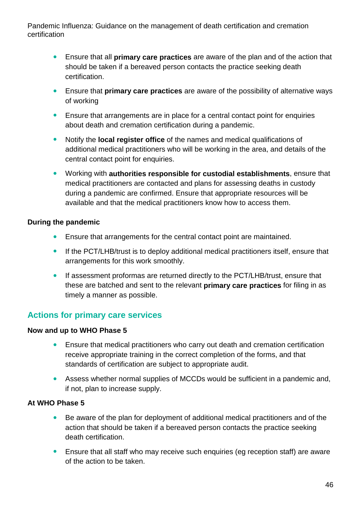- Ensure that all **primary care practices** are aware of the plan and of the action that should be taken if a bereaved person contacts the practice seeking death certification.
- Ensure that **primary care practices** are aware of the possibility of alternative ways of working
- Ensure that arrangements are in place for a central contact point for enquiries about death and cremation certification during a pandemic.
- Notify the **local register office** of the names and medical qualifications of additional medical practitioners who will be working in the area, and details of the central contact point for enquiries.
- Working with **authorities responsible for custodial establishments**, ensure that medical practitioners are contacted and plans for assessing deaths in custody during a pandemic are confirmed. Ensure that appropriate resources will be available and that the medical practitioners know how to access them.

## **During the pandemic**

- Ensure that arrangements for the central contact point are maintained.
- If the PCT/LHB/trust is to deploy additional medical practitioners itself, ensure that arrangements for this work smoothly.
- If assessment proformas are returned directly to the PCT/LHB/trust, ensure that these are batched and sent to the relevant **primary care practices** for filing in as timely a manner as possible.

## **Actions for primary care services**

## **Now and up to WHO Phase 5**

- Ensure that medical practitioners who carry out death and cremation certification receive appropriate training in the correct completion of the forms, and that standards of certification are subject to appropriate audit.
- Assess whether normal supplies of MCCDs would be sufficient in a pandemic and, if not, plan to increase supply.

## **At WHO Phase 5**

- Be aware of the plan for deployment of additional medical practitioners and of the action that should be taken if a bereaved person contacts the practice seeking death certification.
- Ensure that all staff who may receive such enquiries (eg reception staff) are aware of the action to be taken.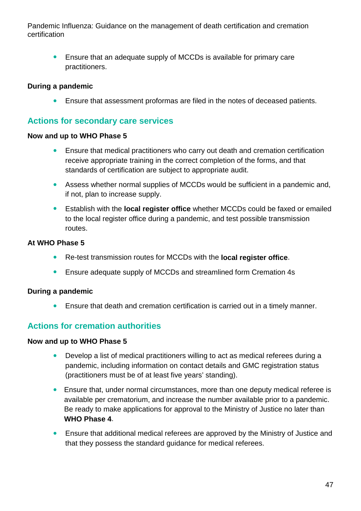Ensure that an adequate supply of MCCDs is available for primary care practitioners.

## **During a pandemic**

Ensure that assessment proformas are filed in the notes of deceased patients.

## **Actions for secondary care services**

#### **Now and up to WHO Phase 5**

- Ensure that medical practitioners who carry out death and cremation certification receive appropriate training in the correct completion of the forms, and that standards of certification are subject to appropriate audit.
- Assess whether normal supplies of MCCDs would be sufficient in a pandemic and, if not, plan to increase supply.
- Establish with the **local register office** whether MCCDs could be faxed or emailed to the local register office during a pandemic, and test possible transmission routes.

## **At WHO Phase 5**

- Re-test transmission routes for MCCDs with the **local register office**.
- Ensure adequate supply of MCCDs and streamlined form Cremation 4s

## **During a pandemic**

Ensure that death and cremation certification is carried out in a timely manner.

## **Actions for cremation authorities**

## **Now and up to WHO Phase 5**

- Develop a list of medical practitioners willing to act as medical referees during a pandemic, including information on contact details and GMC registration status (practitioners must be of at least five years' standing).
- Ensure that, under normal circumstances, more than one deputy medical referee is available per crematorium, and increase the number available prior to a pandemic. Be ready to make applications for approval to the Ministry of Justice no later than **WHO Phase 4**.
- Ensure that additional medical referees are approved by the Ministry of Justice and that they possess the standard guidance for medical referees.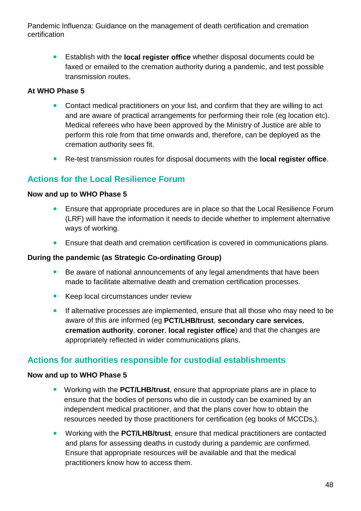Establish with the **local register office** whether disposal documents could be faxed or emailed to the cremation authority during a pandemic, and test possible transmission routes.

## **At WHO Phase 5**

- Contact medical practitioners on your list, and confirm that they are willing to act and are aware of practical arrangements for performing their role (eg location etc). Medical referees who have been approved by the Ministry of Justice are able to perform this role from that time onwards and, therefore, can be deployed as the cremation authority sees fit.
- Re-test transmission routes for disposal documents with the **local register office**.

## **Actions for the Local Resilience Forum**

#### **Now and up to WHO Phase 5**

- Ensure that appropriate procedures are in place so that the Local Resilience Forum (LRF) will have the information it needs to decide whether to implement alternative ways of working.
- Ensure that death and cremation certification is covered in communications plans.

## **During the pandemic (as Strategic Co-ordinating Group)**

- Be aware of national announcements of any legal amendments that have been made to facilitate alternative death and cremation certification processes.
- **Keep local circumstances under review**
- If alternative processes are implemented, ensure that all those who may need to be aware of this are informed (eg **PCT/LHB/trust**, **secondary care services**, **cremation authority**, **coroner**, **local register office**) and that the changes are appropriately reflected in wider communications plans.

## **Actions for authorities responsible for custodial establishments**

## **Now and up to WHO Phase 5**

- Working with the **PCT/LHB/trust**, ensure that appropriate plans are in place to ensure that the bodies of persons who die in custody can be examined by an independent medical practitioner, and that the plans cover how to obtain the resources needed by those practitioners for certification (eg books of MCCDs,).
- Working with the **PCT/LHB/trust**, ensure that medical practitioners are contacted and plans for assessing deaths in custody during a pandemic are confirmed. Ensure that appropriate resources will be available and that the medical practitioners know how to access them.